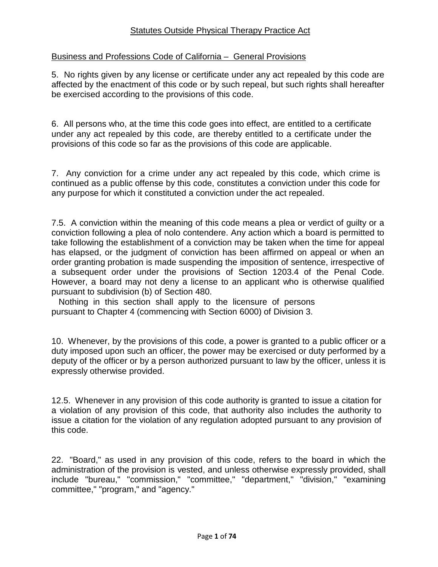# Business and Professions Code of California – General Provisions

5. No rights given by any license or certificate under any act repealed by this code are affected by the enactment of this code or by such repeal, but such rights shall hereafter be exercised according to the provisions of this code.

6. All persons who, at the time this code goes into effect, are entitled to a certificate under any act repealed by this code, are thereby entitled to a certificate under the provisions of this code so far as the provisions of this code are applicable.

7. Any conviction for a crime under any act repealed by this code, which crime is continued as a public offense by this code, constitutes a conviction under this code for any purpose for which it constituted a conviction under the act repealed.

7.5. A conviction within the meaning of this code means a plea or verdict of guilty or a conviction following a plea of nolo contendere. Any action which a board is permitted to take following the establishment of a conviction may be taken when the time for appeal has elapsed, or the judgment of conviction has been affirmed on appeal or when an order granting probation is made suspending the imposition of sentence, irrespective of a subsequent order under the provisions of Section 1203.4 of the Penal Code. However, a board may not deny a license to an applicant who is otherwise qualified pursuant to subdivision (b) of Section 480.

Nothing in this section shall apply to the licensure of persons pursuant to Chapter 4 (commencing with Section 6000) of Division 3.

10. Whenever, by the provisions of this code, a power is granted to a public officer or a duty imposed upon such an officer, the power may be exercised or duty performed by a deputy of the officer or by a person authorized pursuant to law by the officer, unless it is expressly otherwise provided.

12.5. Whenever in any provision of this code authority is granted to issue a citation for a violation of any provision of this code, that authority also includes the authority to issue a citation for the violation of any regulation adopted pursuant to any provision of this code.

22. "Board," as used in any provision of this code, refers to the board in which the administration of the provision is vested, and unless otherwise expressly provided, shall include "bureau," "commission," "committee," "department," "division," "examining committee," "program," and "agency."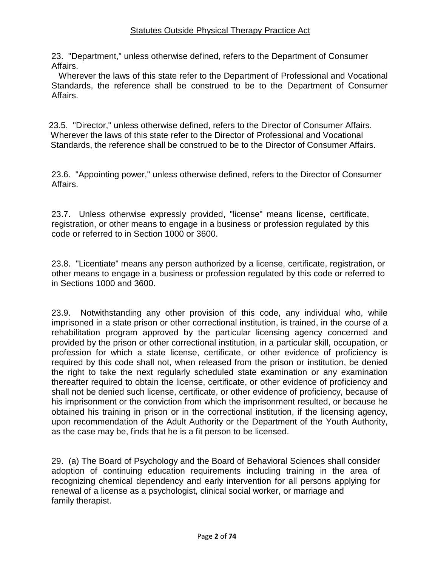23. "Department," unless otherwise defined, refers to the Department of Consumer Affairs.

Wherever the laws of this state refer to the Department of Professional and Vocational Standards, the reference shall be construed to be to the Department of Consumer Affairs.

23.5. "Director," unless otherwise defined, refers to the Director of Consumer Affairs. Wherever the laws of this state refer to the Director of Professional and Vocational Standards, the reference shall be construed to be to the Director of Consumer Affairs.

23.6. "Appointing power," unless otherwise defined, refers to the Director of Consumer Affairs.

23.7. Unless otherwise expressly provided, "license" means license, certificate, registration, or other means to engage in a business or profession regulated by this code or referred to in Section 1000 or 3600.

23.8. "Licentiate" means any person authorized by a license, certificate, registration, or other means to engage in a business or profession regulated by this code or referred to in Sections 1000 and 3600.

23.9. Notwithstanding any other provision of this code, any individual who, while imprisoned in a state prison or other correctional institution, is trained, in the course of a rehabilitation program approved by the particular licensing agency concerned and provided by the prison or other correctional institution, in a particular skill, occupation, or profession for which a state license, certificate, or other evidence of proficiency is required by this code shall not, when released from the prison or institution, be denied the right to take the next regularly scheduled state examination or any examination thereafter required to obtain the license, certificate, or other evidence of proficiency and shall not be denied such license, certificate, or other evidence of proficiency, because of his imprisonment or the conviction from which the imprisonment resulted, or because he obtained his training in prison or in the correctional institution, if the licensing agency, upon recommendation of the Adult Authority or the Department of the Youth Authority, as the case may be, finds that he is a fit person to be licensed.

29. (a) The Board of Psychology and the Board of Behavioral Sciences shall consider adoption of continuing education requirements including training in the area of recognizing chemical dependency and early intervention for all persons applying for renewal of a license as a psychologist, clinical social worker, or marriage and family therapist.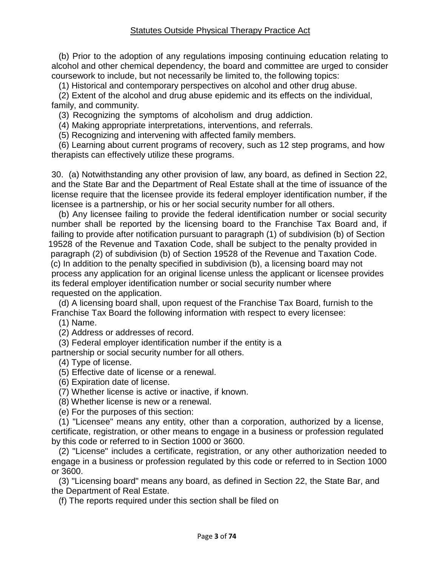(b) Prior to the adoption of any regulations imposing continuing education relating to alcohol and other chemical dependency, the board and committee are urged to consider coursework to include, but not necessarily be limited to, the following topics:

(1) Historical and contemporary perspectives on alcohol and other drug abuse.

(2) Extent of the alcohol and drug abuse epidemic and its effects on the individual, family, and community.

(3) Recognizing the symptoms of alcoholism and drug addiction.

(4) Making appropriate interpretations, interventions, and referrals.

(5) Recognizing and intervening with affected family members.

(6) Learning about current programs of recovery, such as 12 step programs, and how therapists can effectively utilize these programs.

30. (a) Notwithstanding any other provision of law, any board, as defined in Section 22, and the State Bar and the Department of Real Estate shall at the time of issuance of the license require that the licensee provide its federal employer identification number, if the licensee is a partnership, or his or her social security number for all others.

(b) Any licensee failing to provide the federal identification number or social security number shall be reported by the licensing board to the Franchise Tax Board and, if failing to provide after notification pursuant to paragraph (1) of subdivision (b) of Section 19528 of the Revenue and Taxation Code, shall be subject to the penalty provided in paragraph (2) of subdivision (b) of Section 19528 of the Revenue and Taxation Code. (c) In addition to the penalty specified in subdivision (b), a licensing board may not process any application for an original license unless the applicant or licensee provides its federal employer identification number or social security number where requested on the application.

(d) A licensing board shall, upon request of the Franchise Tax Board, furnish to the Franchise Tax Board the following information with respect to every licensee:

(1) Name.

(2) Address or addresses of record.

(3) Federal employer identification number if the entity is a

partnership or social security number for all others.

(4) Type of license.

(5) Effective date of license or a renewal.

- (6) Expiration date of license.
- (7) Whether license is active or inactive, if known.
- (8) Whether license is new or a renewal.
- (e) For the purposes of this section:

(1) "Licensee" means any entity, other than a corporation, authorized by a license, certificate, registration, or other means to engage in a business or profession regulated by this code or referred to in Section 1000 or 3600.

(2) "License" includes a certificate, registration, or any other authorization needed to engage in a business or profession regulated by this code or referred to in Section 1000 or 3600.

(3) "Licensing board" means any board, as defined in Section 22, the State Bar, and the Department of Real Estate.

(f) The reports required under this section shall be filed on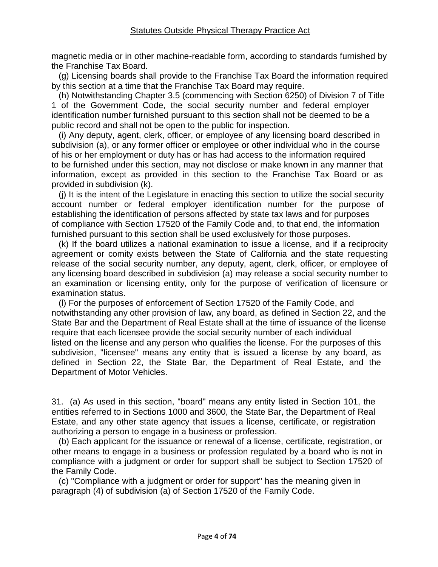magnetic media or in other machine-readable form, according to standards furnished by the Franchise Tax Board.

(g) Licensing boards shall provide to the Franchise Tax Board the information required by this section at a time that the Franchise Tax Board may require.

(h) Notwithstanding Chapter 3.5 (commencing with Section 6250) of Division 7 of Title 1 of the Government Code, the social security number and federal employer identification number furnished pursuant to this section shall not be deemed to be a public record and shall not be open to the public for inspection.

(i) Any deputy, agent, clerk, officer, or employee of any licensing board described in subdivision (a), or any former officer or employee or other individual who in the course of his or her employment or duty has or has had access to the information required to be furnished under this section, may not disclose or make known in any manner that information, except as provided in this section to the Franchise Tax Board or as provided in subdivision (k).

(j) It is the intent of the Legislature in enacting this section to utilize the social security account number or federal employer identification number for the purpose of establishing the identification of persons affected by state tax laws and for purposes of compliance with Section 17520 of the Family Code and, to that end, the information furnished pursuant to this section shall be used exclusively for those purposes.

(k) If the board utilizes a national examination to issue a license, and if a reciprocity agreement or comity exists between the State of California and the state requesting release of the social security number, any deputy, agent, clerk, officer, or employee of any licensing board described in subdivision (a) may release a social security number to an examination or licensing entity, only for the purpose of verification of licensure or examination status.

(l) For the purposes of enforcement of Section 17520 of the Family Code, and notwithstanding any other provision of law, any board, as defined in Section 22, and the State Bar and the Department of Real Estate shall at the time of issuance of the license require that each licensee provide the social security number of each individual listed on the license and any person who qualifies the license. For the purposes of this subdivision, "licensee" means any entity that is issued a license by any board, as defined in Section 22, the State Bar, the Department of Real Estate, and the Department of Motor Vehicles.

31. (a) As used in this section, "board" means any entity listed in Section 101, the entities referred to in Sections 1000 and 3600, the State Bar, the Department of Real Estate, and any other state agency that issues a license, certificate, or registration authorizing a person to engage in a business or profession.

(b) Each applicant for the issuance or renewal of a license, certificate, registration, or other means to engage in a business or profession regulated by a board who is not in compliance with a judgment or order for support shall be subject to Section 17520 of the Family Code.

(c) "Compliance with a judgment or order for support" has the meaning given in paragraph (4) of subdivision (a) of Section 17520 of the Family Code.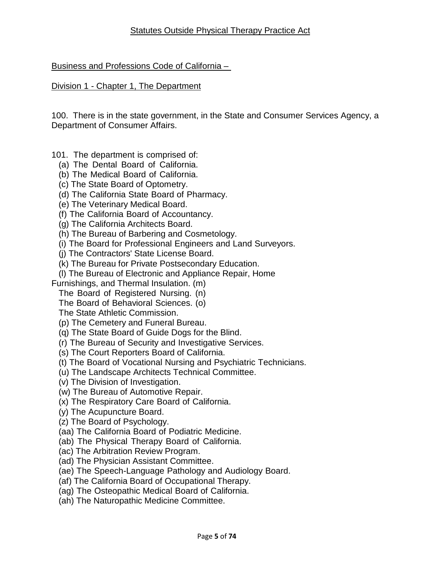Business and Professions Code of California –

# Division 1 - Chapter 1, The Department

100. There is in the state government, in the State and Consumer Services Agency, a Department of Consumer Affairs.

## 101. The department is comprised of:

- (a) The Dental Board of California.
- (b) The Medical Board of California.
- (c) The State Board of Optometry.
- (d) The California State Board of Pharmacy.
- (e) The Veterinary Medical Board.
- (f) The California Board of Accountancy.
- (g) The California Architects Board.
- (h) The Bureau of Barbering and Cosmetology.
- (i) The Board for Professional Engineers and Land Surveyors.
- (j) The Contractors' State License Board.
- (k) The Bureau for Private Postsecondary Education.
- (l) The Bureau of Electronic and Appliance Repair, Home
- Furnishings, and Thermal Insulation. (m)
	- The Board of Registered Nursing. (n)
	- The Board of Behavioral Sciences. (o)

The State Athletic Commission.

- (p) The Cemetery and Funeral Bureau.
- (q) The State Board of Guide Dogs for the Blind.
- (r) The Bureau of Security and Investigative Services.
- (s) The Court Reporters Board of California.
- (t) The Board of Vocational Nursing and Psychiatric Technicians.
- (u) The Landscape Architects Technical Committee.
- (v) The Division of Investigation.
- (w) The Bureau of Automotive Repair.
- (x) The Respiratory Care Board of California.
- (y) The Acupuncture Board.
- (z) The Board of Psychology.
- (aa) The California Board of Podiatric Medicine.
- (ab) The Physical Therapy Board of California.
- (ac) The Arbitration Review Program.
- (ad) The Physician Assistant Committee.
- (ae) The Speech-Language Pathology and Audiology Board.
- (af) The California Board of Occupational Therapy.
- (ag) The Osteopathic Medical Board of California.
- (ah) The Naturopathic Medicine Committee.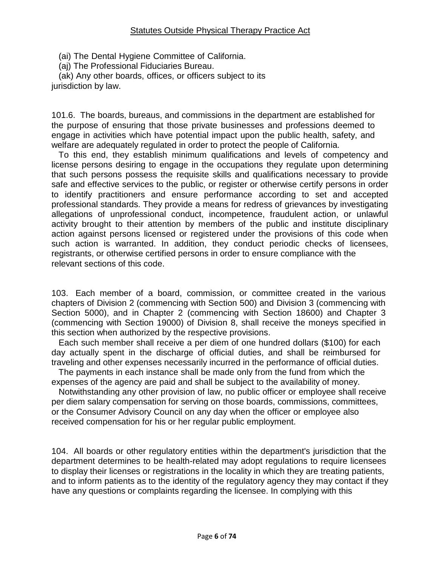(ai) The Dental Hygiene Committee of California.

(aj) The Professional Fiduciaries Bureau.

(ak) Any other boards, offices, or officers subject to its jurisdiction by law.

101.6. The boards, bureaus, and commissions in the department are established for the purpose of ensuring that those private businesses and professions deemed to engage in activities which have potential impact upon the public health, safety, and welfare are adequately regulated in order to protect the people of California.

To this end, they establish minimum qualifications and levels of competency and license persons desiring to engage in the occupations they regulate upon determining that such persons possess the requisite skills and qualifications necessary to provide safe and effective services to the public, or register or otherwise certify persons in order to identify practitioners and ensure performance according to set and accepted professional standards. They provide a means for redress of grievances by investigating allegations of unprofessional conduct, incompetence, fraudulent action, or unlawful activity brought to their attention by members of the public and institute disciplinary action against persons licensed or registered under the provisions of this code when such action is warranted. In addition, they conduct periodic checks of licensees, registrants, or otherwise certified persons in order to ensure compliance with the relevant sections of this code.

103. Each member of a board, commission, or committee created in the various chapters of Division 2 (commencing with Section 500) and Division 3 (commencing with Section 5000), and in Chapter 2 (commencing with Section 18600) and Chapter 3 (commencing with Section 19000) of Division 8, shall receive the moneys specified in this section when authorized by the respective provisions.

Each such member shall receive a per diem of one hundred dollars (\$100) for each day actually spent in the discharge of official duties, and shall be reimbursed for traveling and other expenses necessarily incurred in the performance of official duties.

The payments in each instance shall be made only from the fund from which the expenses of the agency are paid and shall be subject to the availability of money.

Notwithstanding any other provision of law, no public officer or employee shall receive per diem salary compensation for serving on those boards, commissions, committees, or the Consumer Advisory Council on any day when the officer or employee also received compensation for his or her regular public employment.

104. All boards or other regulatory entities within the department's jurisdiction that the department determines to be health-related may adopt regulations to require licensees to display their licenses or registrations in the locality in which they are treating patients, and to inform patients as to the identity of the regulatory agency they may contact if they have any questions or complaints regarding the licensee. In complying with this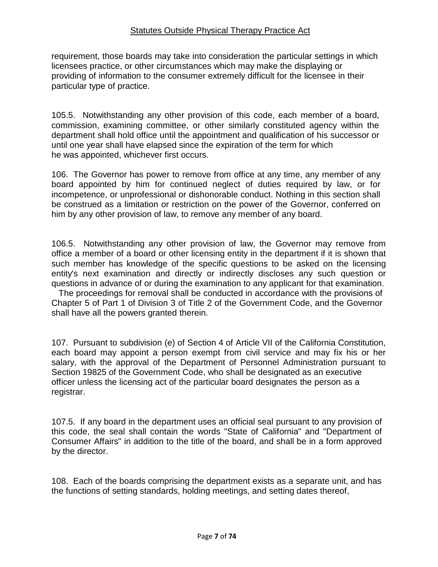## Statutes Outside Physical Therapy Practice Act

requirement, those boards may take into consideration the particular settings in which licensees practice, or other circumstances which may make the displaying or providing of information to the consumer extremely difficult for the licensee in their particular type of practice.

105.5. Notwithstanding any other provision of this code, each member of a board, commission, examining committee, or other similarly constituted agency within the department shall hold office until the appointment and qualification of his successor or until one year shall have elapsed since the expiration of the term for which he was appointed, whichever first occurs.

106. The Governor has power to remove from office at any time, any member of any board appointed by him for continued neglect of duties required by law, or for incompetence, or unprofessional or dishonorable conduct. Nothing in this section shall be construed as a limitation or restriction on the power of the Governor, conferred on him by any other provision of law, to remove any member of any board.

106.5. Notwithstanding any other provision of law, the Governor may remove from office a member of a board or other licensing entity in the department if it is shown that such member has knowledge of the specific questions to be asked on the licensing entity's next examination and directly or indirectly discloses any such question or questions in advance of or during the examination to any applicant for that examination.

The proceedings for removal shall be conducted in accordance with the provisions of Chapter 5 of Part 1 of Division 3 of Title 2 of the Government Code, and the Governor shall have all the powers granted therein.

107. Pursuant to subdivision (e) of Section 4 of Article VII of the California Constitution, each board may appoint a person exempt from civil service and may fix his or her salary, with the approval of the Department of Personnel Administration pursuant to Section 19825 of the Government Code, who shall be designated as an executive officer unless the licensing act of the particular board designates the person as a registrar.

107.5. If any board in the department uses an official seal pursuant to any provision of this code, the seal shall contain the words "State of California" and "Department of Consumer Affairs" in addition to the title of the board, and shall be in a form approved by the director.

108. Each of the boards comprising the department exists as a separate unit, and has the functions of setting standards, holding meetings, and setting dates thereof,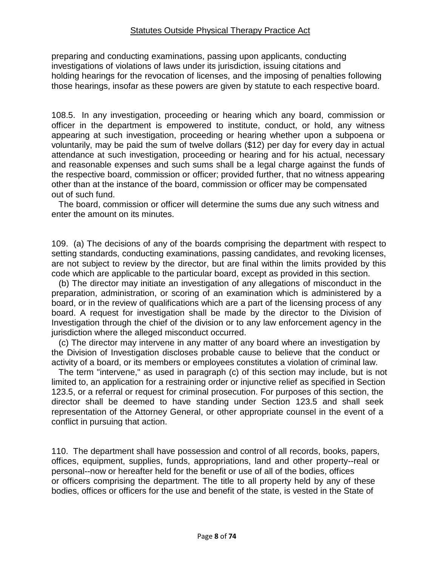preparing and conducting examinations, passing upon applicants, conducting investigations of violations of laws under its jurisdiction, issuing citations and holding hearings for the revocation of licenses, and the imposing of penalties following those hearings, insofar as these powers are given by statute to each respective board.

108.5. In any investigation, proceeding or hearing which any board, commission or officer in the department is empowered to institute, conduct, or hold, any witness appearing at such investigation, proceeding or hearing whether upon a subpoena or voluntarily, may be paid the sum of twelve dollars (\$12) per day for every day in actual attendance at such investigation, proceeding or hearing and for his actual, necessary and reasonable expenses and such sums shall be a legal charge against the funds of the respective board, commission or officer; provided further, that no witness appearing other than at the instance of the board, commission or officer may be compensated out of such fund.

The board, commission or officer will determine the sums due any such witness and enter the amount on its minutes.

109. (a) The decisions of any of the boards comprising the department with respect to setting standards, conducting examinations, passing candidates, and revoking licenses, are not subject to review by the director, but are final within the limits provided by this code which are applicable to the particular board, except as provided in this section.

(b) The director may initiate an investigation of any allegations of misconduct in the preparation, administration, or scoring of an examination which is administered by a board, or in the review of qualifications which are a part of the licensing process of any board. A request for investigation shall be made by the director to the Division of Investigation through the chief of the division or to any law enforcement agency in the jurisdiction where the alleged misconduct occurred.

(c) The director may intervene in any matter of any board where an investigation by the Division of Investigation discloses probable cause to believe that the conduct or activity of a board, or its members or employees constitutes a violation of criminal law.

The term "intervene," as used in paragraph (c) of this section may include, but is not limited to, an application for a restraining order or injunctive relief as specified in Section 123.5, or a referral or request for criminal prosecution. For purposes of this section, the director shall be deemed to have standing under Section 123.5 and shall seek representation of the Attorney General, or other appropriate counsel in the event of a conflict in pursuing that action.

110. The department shall have possession and control of all records, books, papers, offices, equipment, supplies, funds, appropriations, land and other property--real or personal--now or hereafter held for the benefit or use of all of the bodies, offices or officers comprising the department. The title to all property held by any of these bodies, offices or officers for the use and benefit of the state, is vested in the State of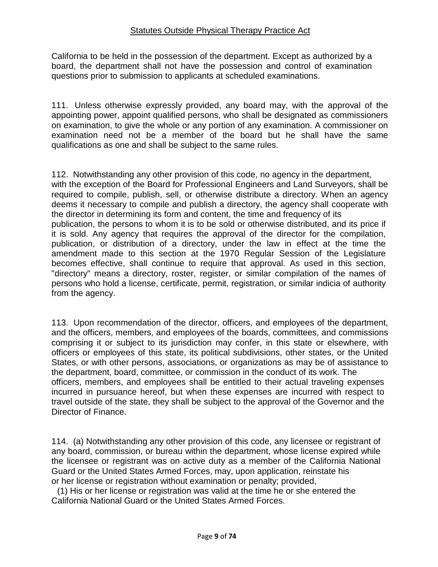California to be held in the possession of the department. Except as authorized by a board, the department shall not have the possession and control of examination questions prior to submission to applicants at scheduled examinations.

111. Unless otherwise expressly provided, any board may, with the approval of the appointing power, appoint qualified persons, who shall be designated as commissioners on examination, to give the whole or any portion of any examination. A commissioner on examination need not be a member of the board but he shall have the same qualifications as one and shall be subject to the same rules.

112. Notwithstanding any other provision of this code, no agency in the department, with the exception of the Board for Professional Engineers and Land Surveyors, shall be required to compile, publish, sell, or otherwise distribute a directory. When an agency deems it necessary to compile and publish a directory, the agency shall cooperate with the director in determining its form and content, the time and frequency of its publication, the persons to whom it is to be sold or otherwise distributed, and its price if it is sold. Any agency that requires the approval of the director for the compilation, publication, or distribution of a directory, under the law in effect at the time the amendment made to this section at the 1970 Regular Session of the Legislature becomes effective, shall continue to require that approval. As used in this section, "directory" means a directory, roster, register, or similar compilation of the names of persons who hold a license, certificate, permit, registration, or similar indicia of authority from the agency.

113. Upon recommendation of the director, officers, and employees of the department, and the officers, members, and employees of the boards, committees, and commissions comprising it or subject to its jurisdiction may confer, in this state or elsewhere, with officers or employees of this state, its political subdivisions, other states, or the United States, or with other persons, associations, or organizations as may be of assistance to the department, board, committee, or commission in the conduct of its work. The officers, members, and employees shall be entitled to their actual traveling expenses incurred in pursuance hereof, but when these expenses are incurred with respect to travel outside of the state, they shall be subject to the approval of the Governor and the Director of Finance.

114. (a) Notwithstanding any other provision of this code, any licensee or registrant of any board, commission, or bureau within the department, whose license expired while the licensee or registrant was on active duty as a member of the California National Guard or the United States Armed Forces, may, upon application, reinstate his or her license or registration without examination or penalty; provided,

(1) His or her license or registration was valid at the time he or she entered the California National Guard or the United States Armed Forces.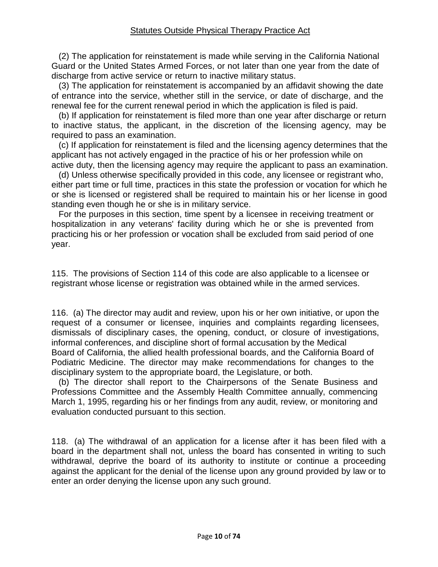## Statutes Outside Physical Therapy Practice Act

(2) The application for reinstatement is made while serving in the California National Guard or the United States Armed Forces, or not later than one year from the date of discharge from active service or return to inactive military status.

(3) The application for reinstatement is accompanied by an affidavit showing the date of entrance into the service, whether still in the service, or date of discharge, and the renewal fee for the current renewal period in which the application is filed is paid.

(b) If application for reinstatement is filed more than one year after discharge or return to inactive status, the applicant, in the discretion of the licensing agency, may be required to pass an examination.

(c) If application for reinstatement is filed and the licensing agency determines that the applicant has not actively engaged in the practice of his or her profession while on active duty, then the licensing agency may require the applicant to pass an examination.

(d) Unless otherwise specifically provided in this code, any licensee or registrant who, either part time or full time, practices in this state the profession or vocation for which he or she is licensed or registered shall be required to maintain his or her license in good standing even though he or she is in military service.

For the purposes in this section, time spent by a licensee in receiving treatment or hospitalization in any veterans' facility during which he or she is prevented from practicing his or her profession or vocation shall be excluded from said period of one year.

115. The provisions of Section 114 of this code are also applicable to a licensee or registrant whose license or registration was obtained while in the armed services.

116. (a) The director may audit and review, upon his or her own initiative, or upon the request of a consumer or licensee, inquiries and complaints regarding licensees, dismissals of disciplinary cases, the opening, conduct, or closure of investigations, informal conferences, and discipline short of formal accusation by the Medical Board of California, the allied health professional boards, and the California Board of Podiatric Medicine. The director may make recommendations for changes to the disciplinary system to the appropriate board, the Legislature, or both.

(b) The director shall report to the Chairpersons of the Senate Business and Professions Committee and the Assembly Health Committee annually, commencing March 1, 1995, regarding his or her findings from any audit, review, or monitoring and evaluation conducted pursuant to this section.

118. (a) The withdrawal of an application for a license after it has been filed with a board in the department shall not, unless the board has consented in writing to such withdrawal, deprive the board of its authority to institute or continue a proceeding against the applicant for the denial of the license upon any ground provided by law or to enter an order denying the license upon any such ground.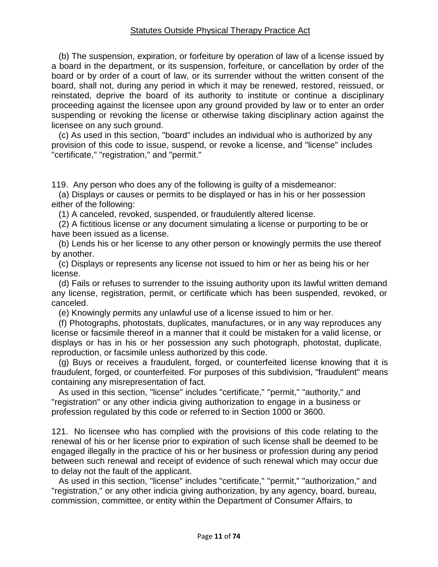## Statutes Outside Physical Therapy Practice Act

(b) The suspension, expiration, or forfeiture by operation of law of a license issued by a board in the department, or its suspension, forfeiture, or cancellation by order of the board or by order of a court of law, or its surrender without the written consent of the board, shall not, during any period in which it may be renewed, restored, reissued, or reinstated, deprive the board of its authority to institute or continue a disciplinary proceeding against the licensee upon any ground provided by law or to enter an order suspending or revoking the license or otherwise taking disciplinary action against the licensee on any such ground.

(c) As used in this section, "board" includes an individual who is authorized by any provision of this code to issue, suspend, or revoke a license, and "license" includes "certificate," "registration," and "permit."

119. Any person who does any of the following is guilty of a misdemeanor:

(a) Displays or causes or permits to be displayed or has in his or her possession either of the following:

(1) A canceled, revoked, suspended, or fraudulently altered license.

(2) A fictitious license or any document simulating a license or purporting to be or have been issued as a license.

(b) Lends his or her license to any other person or knowingly permits the use thereof by another.

(c) Displays or represents any license not issued to him or her as being his or her license.

(d) Fails or refuses to surrender to the issuing authority upon its lawful written demand any license, registration, permit, or certificate which has been suspended, revoked, or canceled.

(e) Knowingly permits any unlawful use of a license issued to him or her.

(f) Photographs, photostats, duplicates, manufactures, or in any way reproduces any license or facsimile thereof in a manner that it could be mistaken for a valid license, or displays or has in his or her possession any such photograph, photostat, duplicate, reproduction, or facsimile unless authorized by this code.

(g) Buys or receives a fraudulent, forged, or counterfeited license knowing that it is fraudulent, forged, or counterfeited. For purposes of this subdivision, "fraudulent" means containing any misrepresentation of fact.

As used in this section, "license" includes "certificate," "permit," "authority," and "registration" or any other indicia giving authorization to engage in a business or profession regulated by this code or referred to in Section 1000 or 3600.

121. No licensee who has complied with the provisions of this code relating to the renewal of his or her license prior to expiration of such license shall be deemed to be engaged illegally in the practice of his or her business or profession during any period between such renewal and receipt of evidence of such renewal which may occur due to delay not the fault of the applicant.

As used in this section, "license" includes "certificate," "permit," "authorization," and "registration," or any other indicia giving authorization, by any agency, board, bureau, commission, committee, or entity within the Department of Consumer Affairs, to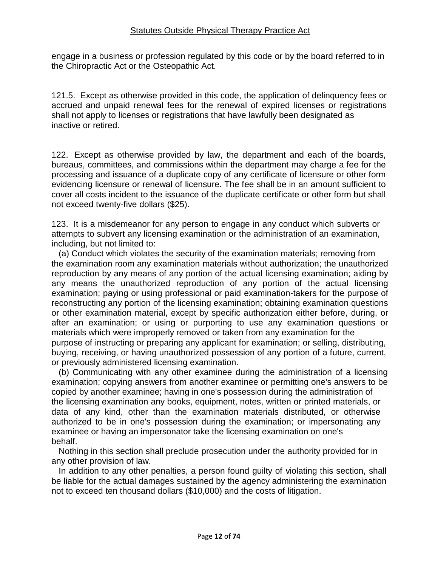engage in a business or profession regulated by this code or by the board referred to in the Chiropractic Act or the Osteopathic Act.

121.5. Except as otherwise provided in this code, the application of delinquency fees or accrued and unpaid renewal fees for the renewal of expired licenses or registrations shall not apply to licenses or registrations that have lawfully been designated as inactive or retired.

122. Except as otherwise provided by law, the department and each of the boards, bureaus, committees, and commissions within the department may charge a fee for the processing and issuance of a duplicate copy of any certificate of licensure or other form evidencing licensure or renewal of licensure. The fee shall be in an amount sufficient to cover all costs incident to the issuance of the duplicate certificate or other form but shall not exceed twenty-five dollars (\$25).

123. It is a misdemeanor for any person to engage in any conduct which subverts or attempts to subvert any licensing examination or the administration of an examination, including, but not limited to:

(a) Conduct which violates the security of the examination materials; removing from the examination room any examination materials without authorization; the unauthorized reproduction by any means of any portion of the actual licensing examination; aiding by any means the unauthorized reproduction of any portion of the actual licensing examination; paying or using professional or paid examination-takers for the purpose of reconstructing any portion of the licensing examination; obtaining examination questions or other examination material, except by specific authorization either before, during, or after an examination; or using or purporting to use any examination questions or materials which were improperly removed or taken from any examination for the purpose of instructing or preparing any applicant for examination; or selling, distributing, buying, receiving, or having unauthorized possession of any portion of a future, current, or previously administered licensing examination.

(b) Communicating with any other examinee during the administration of a licensing examination; copying answers from another examinee or permitting one's answers to be copied by another examinee; having in one's possession during the administration of the licensing examination any books, equipment, notes, written or printed materials, or data of any kind, other than the examination materials distributed, or otherwise authorized to be in one's possession during the examination; or impersonating any examinee or having an impersonator take the licensing examination on one's behalf.

Nothing in this section shall preclude prosecution under the authority provided for in any other provision of law.

In addition to any other penalties, a person found guilty of violating this section, shall be liable for the actual damages sustained by the agency administering the examination not to exceed ten thousand dollars (\$10,000) and the costs of litigation.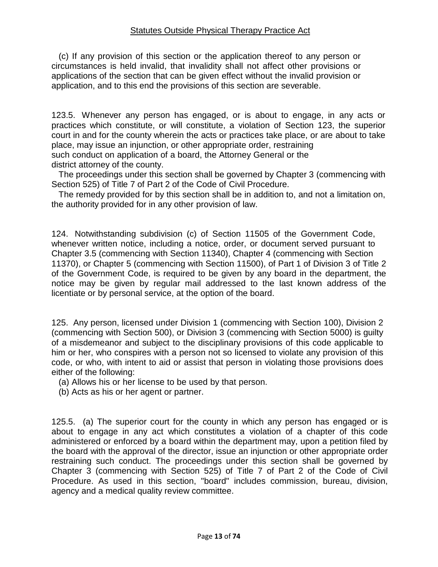(c) If any provision of this section or the application thereof to any person or circumstances is held invalid, that invalidity shall not affect other provisions or applications of the section that can be given effect without the invalid provision or application, and to this end the provisions of this section are severable.

123.5. Whenever any person has engaged, or is about to engage, in any acts or practices which constitute, or will constitute, a violation of Section 123, the superior court in and for the county wherein the acts or practices take place, or are about to take place, may issue an injunction, or other appropriate order, restraining such conduct on application of a board, the Attorney General or the district attorney of the county.

The proceedings under this section shall be governed by Chapter 3 (commencing with Section 525) of Title 7 of Part 2 of the Code of Civil Procedure.

The remedy provided for by this section shall be in addition to, and not a limitation on, the authority provided for in any other provision of law.

124. Notwithstanding subdivision (c) of Section 11505 of the Government Code, whenever written notice, including a notice, order, or document served pursuant to Chapter 3.5 (commencing with Section 11340), Chapter 4 (commencing with Section 11370), or Chapter 5 (commencing with Section 11500), of Part 1 of Division 3 of Title 2 of the Government Code, is required to be given by any board in the department, the notice may be given by regular mail addressed to the last known address of the licentiate or by personal service, at the option of the board.

125. Any person, licensed under Division 1 (commencing with Section 100), Division 2 (commencing with Section 500), or Division 3 (commencing with Section 5000) is guilty of a misdemeanor and subject to the disciplinary provisions of this code applicable to him or her, who conspires with a person not so licensed to violate any provision of this code, or who, with intent to aid or assist that person in violating those provisions does either of the following:

- (a) Allows his or her license to be used by that person.
- (b) Acts as his or her agent or partner.

125.5. (a) The superior court for the county in which any person has engaged or is about to engage in any act which constitutes a violation of a chapter of this code administered or enforced by a board within the department may, upon a petition filed by the board with the approval of the director, issue an injunction or other appropriate order restraining such conduct. The proceedings under this section shall be governed by Chapter 3 (commencing with Section 525) of Title 7 of Part 2 of the Code of Civil Procedure. As used in this section, "board" includes commission, bureau, division, agency and a medical quality review committee.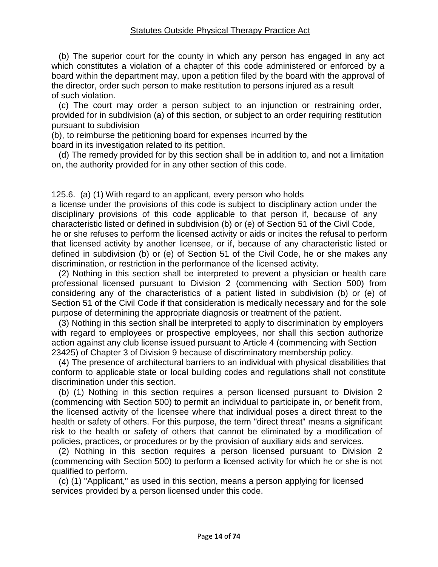## Statutes Outside Physical Therapy Practice Act

(b) The superior court for the county in which any person has engaged in any act which constitutes a violation of a chapter of this code administered or enforced by a board within the department may, upon a petition filed by the board with the approval of the director, order such person to make restitution to persons injured as a result of such violation.

(c) The court may order a person subject to an injunction or restraining order, provided for in subdivision (a) of this section, or subject to an order requiring restitution pursuant to subdivision

(b), to reimburse the petitioning board for expenses incurred by the board in its investigation related to its petition.

(d) The remedy provided for by this section shall be in addition to, and not a limitation on, the authority provided for in any other section of this code.

125.6. (a) (1) With regard to an applicant, every person who holds

a license under the provisions of this code is subject to disciplinary action under the disciplinary provisions of this code applicable to that person if, because of any characteristic listed or defined in subdivision (b) or (e) of Section 51 of the Civil Code, he or she refuses to perform the licensed activity or aids or incites the refusal to perform that licensed activity by another licensee, or if, because of any characteristic listed or defined in subdivision (b) or (e) of Section 51 of the Civil Code, he or she makes any discrimination, or restriction in the performance of the licensed activity.

(2) Nothing in this section shall be interpreted to prevent a physician or health care professional licensed pursuant to Division 2 (commencing with Section 500) from considering any of the characteristics of a patient listed in subdivision (b) or (e) of Section 51 of the Civil Code if that consideration is medically necessary and for the sole purpose of determining the appropriate diagnosis or treatment of the patient.

(3) Nothing in this section shall be interpreted to apply to discrimination by employers with regard to employees or prospective employees, nor shall this section authorize action against any club license issued pursuant to Article 4 (commencing with Section 23425) of Chapter 3 of Division 9 because of discriminatory membership policy.

(4) The presence of architectural barriers to an individual with physical disabilities that conform to applicable state or local building codes and regulations shall not constitute discrimination under this section.

(b) (1) Nothing in this section requires a person licensed pursuant to Division 2 (commencing with Section 500) to permit an individual to participate in, or benefit from, the licensed activity of the licensee where that individual poses a direct threat to the health or safety of others. For this purpose, the term "direct threat" means a significant risk to the health or safety of others that cannot be eliminated by a modification of policies, practices, or procedures or by the provision of auxiliary aids and services.

(2) Nothing in this section requires a person licensed pursuant to Division 2 (commencing with Section 500) to perform a licensed activity for which he or she is not qualified to perform.

(c) (1) "Applicant," as used in this section, means a person applying for licensed services provided by a person licensed under this code.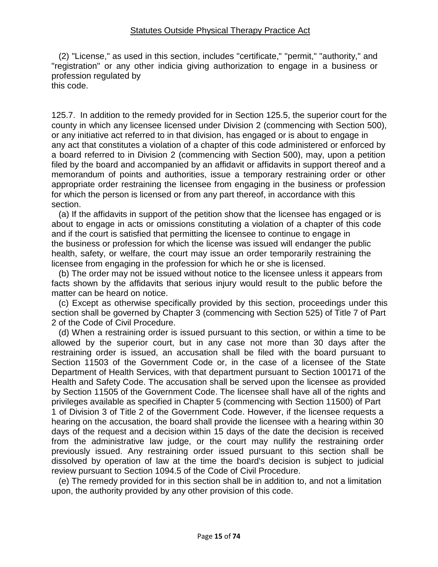#### Statutes Outside Physical Therapy Practice Act

(2) "License," as used in this section, includes "certificate," "permit," "authority," and "registration" or any other indicia giving authorization to engage in a business or profession regulated by

this code.

125.7. In addition to the remedy provided for in Section 125.5, the superior court for the county in which any licensee licensed under Division 2 (commencing with Section 500), or any initiative act referred to in that division, has engaged or is about to engage in any act that constitutes a violation of a chapter of this code administered or enforced by a board referred to in Division 2 (commencing with Section 500), may, upon a petition filed by the board and accompanied by an affidavit or affidavits in support thereof and a memorandum of points and authorities, issue a temporary restraining order or other appropriate order restraining the licensee from engaging in the business or profession for which the person is licensed or from any part thereof, in accordance with this section.

(a) If the affidavits in support of the petition show that the licensee has engaged or is about to engage in acts or omissions constituting a violation of a chapter of this code and if the court is satisfied that permitting the licensee to continue to engage in the business or profession for which the license was issued will endanger the public health, safety, or welfare, the court may issue an order temporarily restraining the licensee from engaging in the profession for which he or she is licensed.

(b) The order may not be issued without notice to the licensee unless it appears from facts shown by the affidavits that serious injury would result to the public before the matter can be heard on notice.

(c) Except as otherwise specifically provided by this section, proceedings under this section shall be governed by Chapter 3 (commencing with Section 525) of Title 7 of Part 2 of the Code of Civil Procedure.

(d) When a restraining order is issued pursuant to this section, or within a time to be allowed by the superior court, but in any case not more than 30 days after the restraining order is issued, an accusation shall be filed with the board pursuant to Section 11503 of the Government Code or, in the case of a licensee of the State Department of Health Services, with that department pursuant to Section 100171 of the Health and Safety Code. The accusation shall be served upon the licensee as provided by Section 11505 of the Government Code. The licensee shall have all of the rights and privileges available as specified in Chapter 5 (commencing with Section 11500) of Part 1 of Division 3 of Title 2 of the Government Code. However, if the licensee requests a hearing on the accusation, the board shall provide the licensee with a hearing within 30 days of the request and a decision within 15 days of the date the decision is received from the administrative law judge, or the court may nullify the restraining order previously issued. Any restraining order issued pursuant to this section shall be dissolved by operation of law at the time the board's decision is subject to judicial review pursuant to Section 1094.5 of the Code of Civil Procedure.

(e) The remedy provided for in this section shall be in addition to, and not a limitation upon, the authority provided by any other provision of this code.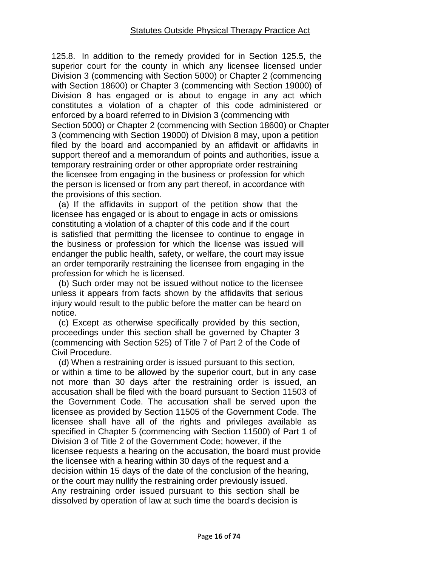125.8. In addition to the remedy provided for in Section 125.5, the superior court for the county in which any licensee licensed under Division 3 (commencing with Section 5000) or Chapter 2 (commencing with Section 18600) or Chapter 3 (commencing with Section 19000) of Division 8 has engaged or is about to engage in any act which constitutes a violation of a chapter of this code administered or enforced by a board referred to in Division 3 (commencing with Section 5000) or Chapter 2 (commencing with Section 18600) or Chapter 3 (commencing with Section 19000) of Division 8 may, upon a petition filed by the board and accompanied by an affidavit or affidavits in support thereof and a memorandum of points and authorities, issue a temporary restraining order or other appropriate order restraining the licensee from engaging in the business or profession for which the person is licensed or from any part thereof, in accordance with the provisions of this section.

(a) If the affidavits in support of the petition show that the licensee has engaged or is about to engage in acts or omissions constituting a violation of a chapter of this code and if the court is satisfied that permitting the licensee to continue to engage in the business or profession for which the license was issued will endanger the public health, safety, or welfare, the court may issue an order temporarily restraining the licensee from engaging in the profession for which he is licensed.

(b) Such order may not be issued without notice to the licensee unless it appears from facts shown by the affidavits that serious injury would result to the public before the matter can be heard on notice.

(c) Except as otherwise specifically provided by this section, proceedings under this section shall be governed by Chapter 3 (commencing with Section 525) of Title 7 of Part 2 of the Code of Civil Procedure.

(d) When a restraining order is issued pursuant to this section, or within a time to be allowed by the superior court, but in any case not more than 30 days after the restraining order is issued, an accusation shall be filed with the board pursuant to Section 11503 of the Government Code. The accusation shall be served upon the licensee as provided by Section 11505 of the Government Code. The licensee shall have all of the rights and privileges available as specified in Chapter 5 (commencing with Section 11500) of Part 1 of Division 3 of Title 2 of the Government Code; however, if the licensee requests a hearing on the accusation, the board must provide the licensee with a hearing within 30 days of the request and a decision within 15 days of the date of the conclusion of the hearing, or the court may nullify the restraining order previously issued. Any restraining order issued pursuant to this section shall be dissolved by operation of law at such time the board's decision is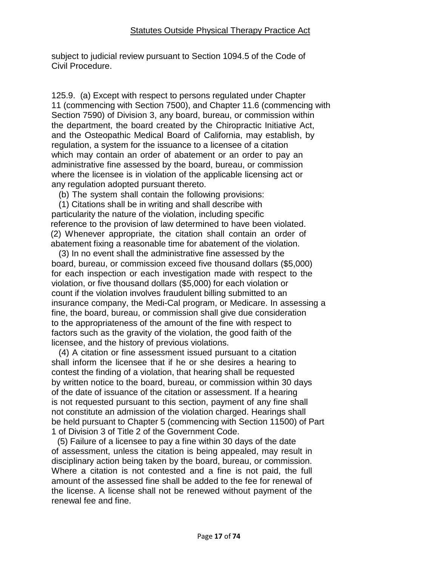#### Statutes Outside Physical Therapy Practice Act

subject to judicial review pursuant to Section 1094.5 of the Code of Civil Procedure.

125.9. (a) Except with respect to persons regulated under Chapter 11 (commencing with Section 7500), and Chapter 11.6 (commencing with Section 7590) of Division 3, any board, bureau, or commission within the department, the board created by the Chiropractic Initiative Act, and the Osteopathic Medical Board of California, may establish, by regulation, a system for the issuance to a licensee of a citation which may contain an order of abatement or an order to pay an administrative fine assessed by the board, bureau, or commission where the licensee is in violation of the applicable licensing act or any regulation adopted pursuant thereto.

(b) The system shall contain the following provisions:

(1) Citations shall be in writing and shall describe with particularity the nature of the violation, including specific reference to the provision of law determined to have been violated. (2) Whenever appropriate, the citation shall contain an order of abatement fixing a reasonable time for abatement of the violation.

(3) In no event shall the administrative fine assessed by the board, bureau, or commission exceed five thousand dollars (\$5,000) for each inspection or each investigation made with respect to the violation, or five thousand dollars (\$5,000) for each violation or count if the violation involves fraudulent billing submitted to an insurance company, the Medi-Cal program, or Medicare. In assessing a fine, the board, bureau, or commission shall give due consideration to the appropriateness of the amount of the fine with respect to factors such as the gravity of the violation, the good faith of the licensee, and the history of previous violations.

(4) A citation or fine assessment issued pursuant to a citation shall inform the licensee that if he or she desires a hearing to contest the finding of a violation, that hearing shall be requested by written notice to the board, bureau, or commission within 30 days of the date of issuance of the citation or assessment. If a hearing is not requested pursuant to this section, payment of any fine shall not constitute an admission of the violation charged. Hearings shall be held pursuant to Chapter 5 (commencing with Section 11500) of Part 1 of Division 3 of Title 2 of the Government Code.

(5) Failure of a licensee to pay a fine within 30 days of the date of assessment, unless the citation is being appealed, may result in disciplinary action being taken by the board, bureau, or commission. Where a citation is not contested and a fine is not paid, the full amount of the assessed fine shall be added to the fee for renewal of the license. A license shall not be renewed without payment of the renewal fee and fine.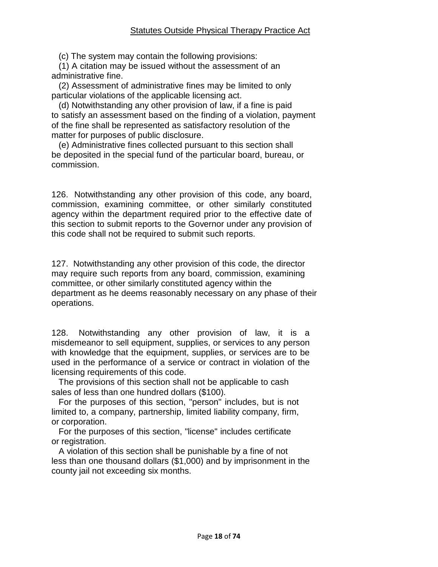(c) The system may contain the following provisions:

(1) A citation may be issued without the assessment of an administrative fine.

(2) Assessment of administrative fines may be limited to only particular violations of the applicable licensing act.

(d) Notwithstanding any other provision of law, if a fine is paid to satisfy an assessment based on the finding of a violation, payment of the fine shall be represented as satisfactory resolution of the matter for purposes of public disclosure.

(e) Administrative fines collected pursuant to this section shall be deposited in the special fund of the particular board, bureau, or commission.

126. Notwithstanding any other provision of this code, any board, commission, examining committee, or other similarly constituted agency within the department required prior to the effective date of this section to submit reports to the Governor under any provision of this code shall not be required to submit such reports.

127. Notwithstanding any other provision of this code, the director may require such reports from any board, commission, examining committee, or other similarly constituted agency within the department as he deems reasonably necessary on any phase of their operations.

128. Notwithstanding any other provision of law, it is a misdemeanor to sell equipment, supplies, or services to any person with knowledge that the equipment, supplies, or services are to be used in the performance of a service or contract in violation of the licensing requirements of this code.

The provisions of this section shall not be applicable to cash sales of less than one hundred dollars (\$100).

For the purposes of this section, "person" includes, but is not limited to, a company, partnership, limited liability company, firm, or corporation.

For the purposes of this section, "license" includes certificate or registration.

A violation of this section shall be punishable by a fine of not less than one thousand dollars (\$1,000) and by imprisonment in the county jail not exceeding six months.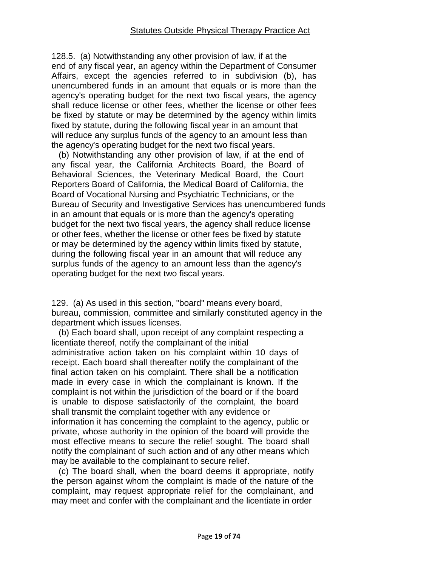128.5. (a) Notwithstanding any other provision of law, if at the end of any fiscal year, an agency within the Department of Consumer Affairs, except the agencies referred to in subdivision (b), has unencumbered funds in an amount that equals or is more than the agency's operating budget for the next two fiscal years, the agency shall reduce license or other fees, whether the license or other fees be fixed by statute or may be determined by the agency within limits fixed by statute, during the following fiscal year in an amount that will reduce any surplus funds of the agency to an amount less than the agency's operating budget for the next two fiscal years.

(b) Notwithstanding any other provision of law, if at the end of any fiscal year, the California Architects Board, the Board of Behavioral Sciences, the Veterinary Medical Board, the Court Reporters Board of California, the Medical Board of California, the Board of Vocational Nursing and Psychiatric Technicians, or the Bureau of Security and Investigative Services has unencumbered funds in an amount that equals or is more than the agency's operating budget for the next two fiscal years, the agency shall reduce license or other fees, whether the license or other fees be fixed by statute or may be determined by the agency within limits fixed by statute, during the following fiscal year in an amount that will reduce any surplus funds of the agency to an amount less than the agency's operating budget for the next two fiscal years.

129. (a) As used in this section, "board" means every board, bureau, commission, committee and similarly constituted agency in the department which issues licenses.

(b) Each board shall, upon receipt of any complaint respecting a licentiate thereof, notify the complainant of the initial administrative action taken on his complaint within 10 days of receipt. Each board shall thereafter notify the complainant of the final action taken on his complaint. There shall be a notification made in every case in which the complainant is known. If the complaint is not within the jurisdiction of the board or if the board is unable to dispose satisfactorily of the complaint, the board shall transmit the complaint together with any evidence or information it has concerning the complaint to the agency, public or private, whose authority in the opinion of the board will provide the most effective means to secure the relief sought. The board shall notify the complainant of such action and of any other means which may be available to the complainant to secure relief.

(c) The board shall, when the board deems it appropriate, notify the person against whom the complaint is made of the nature of the complaint, may request appropriate relief for the complainant, and may meet and confer with the complainant and the licentiate in order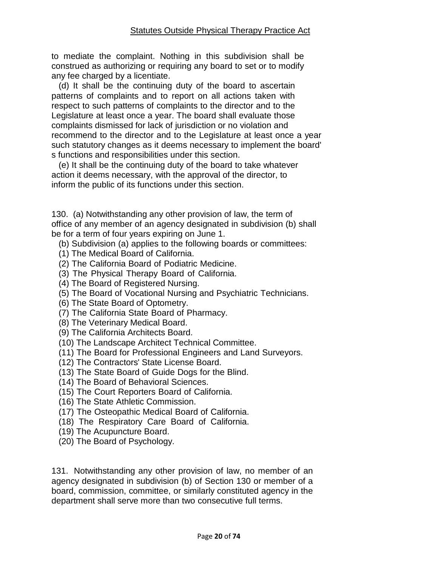to mediate the complaint. Nothing in this subdivision shall be construed as authorizing or requiring any board to set or to modify any fee charged by a licentiate.

(d) It shall be the continuing duty of the board to ascertain patterns of complaints and to report on all actions taken with respect to such patterns of complaints to the director and to the Legislature at least once a year. The board shall evaluate those complaints dismissed for lack of jurisdiction or no violation and recommend to the director and to the Legislature at least once a year such statutory changes as it deems necessary to implement the board' s functions and responsibilities under this section.

(e) It shall be the continuing duty of the board to take whatever action it deems necessary, with the approval of the director, to inform the public of its functions under this section.

130. (a) Notwithstanding any other provision of law, the term of office of any member of an agency designated in subdivision (b) shall be for a term of four years expiring on June 1.

- (b) Subdivision (a) applies to the following boards or committees:
- (1) The Medical Board of California.
- (2) The California Board of Podiatric Medicine.
- (3) The Physical Therapy Board of California.
- (4) The Board of Registered Nursing.
- (5) The Board of Vocational Nursing and Psychiatric Technicians.
- (6) The State Board of Optometry.
- (7) The California State Board of Pharmacy.
- (8) The Veterinary Medical Board.
- (9) The California Architects Board.
- (10) The Landscape Architect Technical Committee.
- (11) The Board for Professional Engineers and Land Surveyors.
- (12) The Contractors' State License Board.
- (13) The State Board of Guide Dogs for the Blind.
- (14) The Board of Behavioral Sciences.
- (15) The Court Reporters Board of California.
- (16) The State Athletic Commission.
- (17) The Osteopathic Medical Board of California.
- (18) The Respiratory Care Board of California.
- (19) The Acupuncture Board.
- (20) The Board of Psychology.

131. Notwithstanding any other provision of law, no member of an agency designated in subdivision (b) of Section 130 or member of a board, commission, committee, or similarly constituted agency in the department shall serve more than two consecutive full terms.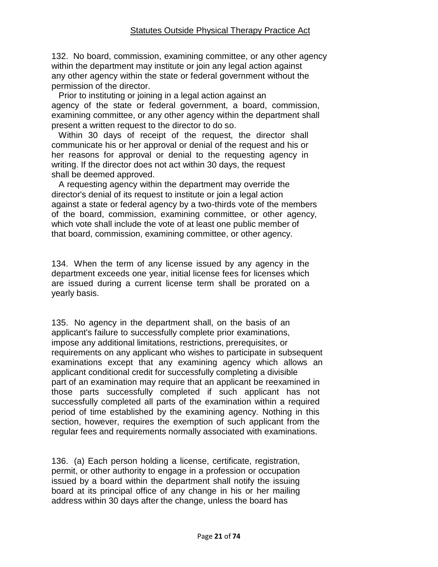132. No board, commission, examining committee, or any other agency within the department may institute or join any legal action against any other agency within the state or federal government without the permission of the director.

Prior to instituting or joining in a legal action against an agency of the state or federal government, a board, commission, examining committee, or any other agency within the department shall present a written request to the director to do so.

Within 30 days of receipt of the request, the director shall communicate his or her approval or denial of the request and his or her reasons for approval or denial to the requesting agency in writing. If the director does not act within 30 days, the request shall be deemed approved.

A requesting agency within the department may override the director's denial of its request to institute or join a legal action against a state or federal agency by a two-thirds vote of the members of the board, commission, examining committee, or other agency, which vote shall include the vote of at least one public member of that board, commission, examining committee, or other agency.

134. When the term of any license issued by any agency in the department exceeds one year, initial license fees for licenses which are issued during a current license term shall be prorated on a yearly basis.

135. No agency in the department shall, on the basis of an applicant's failure to successfully complete prior examinations, impose any additional limitations, restrictions, prerequisites, or requirements on any applicant who wishes to participate in subsequent examinations except that any examining agency which allows an applicant conditional credit for successfully completing a divisible part of an examination may require that an applicant be reexamined in those parts successfully completed if such applicant has not successfully completed all parts of the examination within a required period of time established by the examining agency. Nothing in this section, however, requires the exemption of such applicant from the regular fees and requirements normally associated with examinations.

136. (a) Each person holding a license, certificate, registration, permit, or other authority to engage in a profession or occupation issued by a board within the department shall notify the issuing board at its principal office of any change in his or her mailing address within 30 days after the change, unless the board has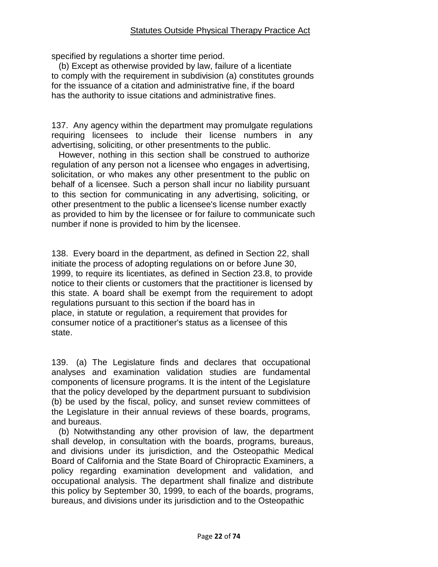specified by regulations a shorter time period.

(b) Except as otherwise provided by law, failure of a licentiate to comply with the requirement in subdivision (a) constitutes grounds for the issuance of a citation and administrative fine, if the board has the authority to issue citations and administrative fines.

137. Any agency within the department may promulgate regulations requiring licensees to include their license numbers in any advertising, soliciting, or other presentments to the public.

However, nothing in this section shall be construed to authorize regulation of any person not a licensee who engages in advertising, solicitation, or who makes any other presentment to the public on behalf of a licensee. Such a person shall incur no liability pursuant to this section for communicating in any advertising, soliciting, or other presentment to the public a licensee's license number exactly as provided to him by the licensee or for failure to communicate such number if none is provided to him by the licensee.

138. Every board in the department, as defined in Section 22, shall initiate the process of adopting regulations on or before June 30, 1999, to require its licentiates, as defined in Section 23.8, to provide notice to their clients or customers that the practitioner is licensed by this state. A board shall be exempt from the requirement to adopt regulations pursuant to this section if the board has in place, in statute or regulation, a requirement that provides for consumer notice of a practitioner's status as a licensee of this state.

139. (a) The Legislature finds and declares that occupational analyses and examination validation studies are fundamental components of licensure programs. It is the intent of the Legislature that the policy developed by the department pursuant to subdivision (b) be used by the fiscal, policy, and sunset review committees of the Legislature in their annual reviews of these boards, programs, and bureaus.

(b) Notwithstanding any other provision of law, the department shall develop, in consultation with the boards, programs, bureaus, and divisions under its jurisdiction, and the Osteopathic Medical Board of California and the State Board of Chiropractic Examiners, a policy regarding examination development and validation, and occupational analysis. The department shall finalize and distribute this policy by September 30, 1999, to each of the boards, programs, bureaus, and divisions under its jurisdiction and to the Osteopathic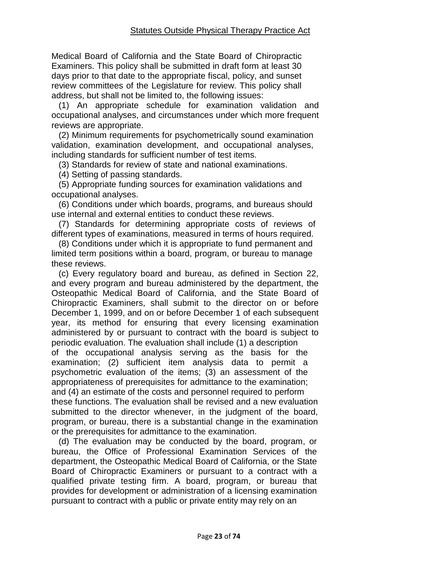Medical Board of California and the State Board of Chiropractic Examiners. This policy shall be submitted in draft form at least 30 days prior to that date to the appropriate fiscal, policy, and sunset review committees of the Legislature for review. This policy shall address, but shall not be limited to, the following issues:

(1) An appropriate schedule for examination validation and occupational analyses, and circumstances under which more frequent reviews are appropriate.

(2) Minimum requirements for psychometrically sound examination validation, examination development, and occupational analyses, including standards for sufficient number of test items.

(3) Standards for review of state and national examinations.

(4) Setting of passing standards.

(5) Appropriate funding sources for examination validations and occupational analyses.

(6) Conditions under which boards, programs, and bureaus should use internal and external entities to conduct these reviews.

(7) Standards for determining appropriate costs of reviews of different types of examinations, measured in terms of hours required.

(8) Conditions under which it is appropriate to fund permanent and limited term positions within a board, program, or bureau to manage these reviews.

(c) Every regulatory board and bureau, as defined in Section 22, and every program and bureau administered by the department, the Osteopathic Medical Board of California, and the State Board of Chiropractic Examiners, shall submit to the director on or before December 1, 1999, and on or before December 1 of each subsequent year, its method for ensuring that every licensing examination administered by or pursuant to contract with the board is subject to periodic evaluation. The evaluation shall include (1) a description of the occupational analysis serving as the basis for the examination; (2) sufficient item analysis data to permit a psychometric evaluation of the items; (3) an assessment of the appropriateness of prerequisites for admittance to the examination; and (4) an estimate of the costs and personnel required to perform these functions. The evaluation shall be revised and a new evaluation submitted to the director whenever, in the judgment of the board, program, or bureau, there is a substantial change in the examination or the prerequisites for admittance to the examination.

(d) The evaluation may be conducted by the board, program, or bureau, the Office of Professional Examination Services of the department, the Osteopathic Medical Board of California, or the State Board of Chiropractic Examiners or pursuant to a contract with a qualified private testing firm. A board, program, or bureau that provides for development or administration of a licensing examination pursuant to contract with a public or private entity may rely on an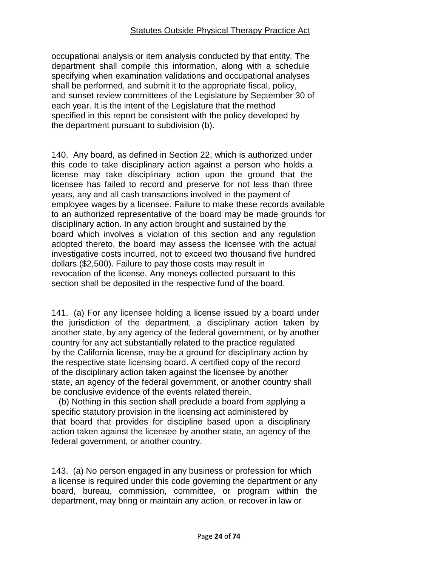occupational analysis or item analysis conducted by that entity. The department shall compile this information, along with a schedule specifying when examination validations and occupational analyses shall be performed, and submit it to the appropriate fiscal, policy, and sunset review committees of the Legislature by September 30 of each year. It is the intent of the Legislature that the method specified in this report be consistent with the policy developed by the department pursuant to subdivision (b).

140. Any board, as defined in Section 22, which is authorized under this code to take disciplinary action against a person who holds a license may take disciplinary action upon the ground that the licensee has failed to record and preserve for not less than three years, any and all cash transactions involved in the payment of employee wages by a licensee. Failure to make these records available to an authorized representative of the board may be made grounds for disciplinary action. In any action brought and sustained by the board which involves a violation of this section and any regulation adopted thereto, the board may assess the licensee with the actual investigative costs incurred, not to exceed two thousand five hundred dollars (\$2,500). Failure to pay those costs may result in revocation of the license. Any moneys collected pursuant to this section shall be deposited in the respective fund of the board.

141. (a) For any licensee holding a license issued by a board under the jurisdiction of the department, a disciplinary action taken by another state, by any agency of the federal government, or by another country for any act substantially related to the practice regulated by the California license, may be a ground for disciplinary action by the respective state licensing board. A certified copy of the record of the disciplinary action taken against the licensee by another state, an agency of the federal government, or another country shall be conclusive evidence of the events related therein.

(b) Nothing in this section shall preclude a board from applying a specific statutory provision in the licensing act administered by that board that provides for discipline based upon a disciplinary action taken against the licensee by another state, an agency of the federal government, or another country.

143. (a) No person engaged in any business or profession for which a license is required under this code governing the department or any board, bureau, commission, committee, or program within the department, may bring or maintain any action, or recover in law or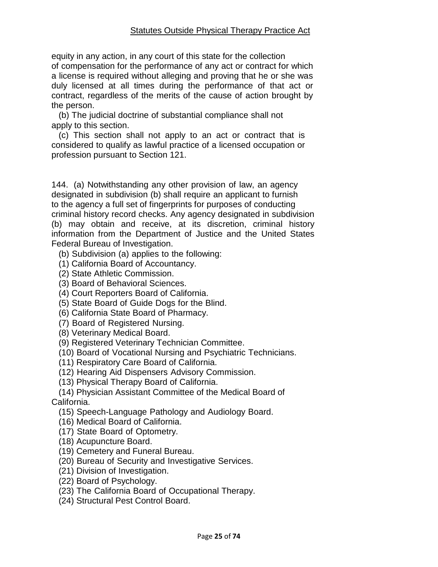equity in any action, in any court of this state for the collection of compensation for the performance of any act or contract for which a license is required without alleging and proving that he or she was duly licensed at all times during the performance of that act or contract, regardless of the merits of the cause of action brought by the person.

(b) The judicial doctrine of substantial compliance shall not apply to this section.

(c) This section shall not apply to an act or contract that is considered to qualify as lawful practice of a licensed occupation or profession pursuant to Section 121.

144. (a) Notwithstanding any other provision of law, an agency designated in subdivision (b) shall require an applicant to furnish to the agency a full set of fingerprints for purposes of conducting criminal history record checks. Any agency designated in subdivision (b) may obtain and receive, at its discretion, criminal history information from the Department of Justice and the United States Federal Bureau of Investigation.

(b) Subdivision (a) applies to the following:

- (1) California Board of Accountancy.
- (2) State Athletic Commission.
- (3) Board of Behavioral Sciences.
- (4) Court Reporters Board of California.
- (5) State Board of Guide Dogs for the Blind.
- (6) California State Board of Pharmacy.
- (7) Board of Registered Nursing.
- (8) Veterinary Medical Board.
- (9) Registered Veterinary Technician Committee.
- (10) Board of Vocational Nursing and Psychiatric Technicians.
- (11) Respiratory Care Board of California.
- (12) Hearing Aid Dispensers Advisory Commission.
- (13) Physical Therapy Board of California.
- (14) Physician Assistant Committee of the Medical Board of California.
	- (15) Speech-Language Pathology and Audiology Board.
	- (16) Medical Board of California.
	- (17) State Board of Optometry.
	- (18) Acupuncture Board.
	- (19) Cemetery and Funeral Bureau.
	- (20) Bureau of Security and Investigative Services.
	- (21) Division of Investigation.
	- (22) Board of Psychology.
	- (23) The California Board of Occupational Therapy.
	- (24) Structural Pest Control Board.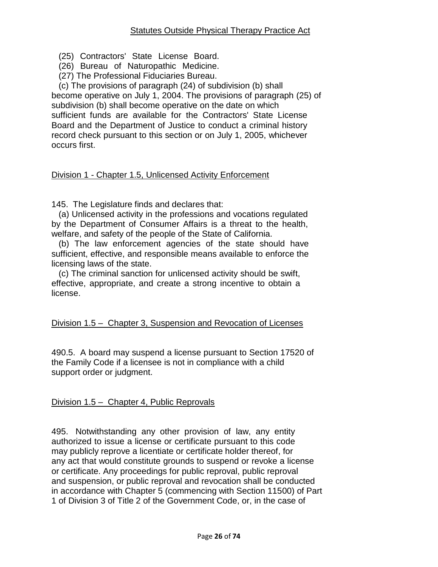- (25) Contractors' State License Board.
- (26) Bureau of Naturopathic Medicine.
- (27) The Professional Fiduciaries Bureau.

(c) The provisions of paragraph (24) of subdivision (b) shall become operative on July 1, 2004. The provisions of paragraph (25) of subdivision (b) shall become operative on the date on which sufficient funds are available for the Contractors' State License Board and the Department of Justice to conduct a criminal history record check pursuant to this section or on July 1, 2005, whichever occurs first.

# Division 1 - Chapter 1.5, Unlicensed Activity Enforcement

145. The Legislature finds and declares that:

(a) Unlicensed activity in the professions and vocations regulated by the Department of Consumer Affairs is a threat to the health, welfare, and safety of the people of the State of California.

(b) The law enforcement agencies of the state should have sufficient, effective, and responsible means available to enforce the licensing laws of the state.

(c) The criminal sanction for unlicensed activity should be swift, effective, appropriate, and create a strong incentive to obtain a license.

# Division 1.5 – Chapter 3, Suspension and Revocation of Licenses

490.5. A board may suspend a license pursuant to Section 17520 of the Family Code if a licensee is not in compliance with a child support order or judgment.

## Division 1.5 – Chapter 4, Public Reprovals

495. Notwithstanding any other provision of law, any entity authorized to issue a license or certificate pursuant to this code may publicly reprove a licentiate or certificate holder thereof, for any act that would constitute grounds to suspend or revoke a license or certificate. Any proceedings for public reproval, public reproval and suspension, or public reproval and revocation shall be conducted in accordance with Chapter 5 (commencing with Section 11500) of Part 1 of Division 3 of Title 2 of the Government Code, or, in the case of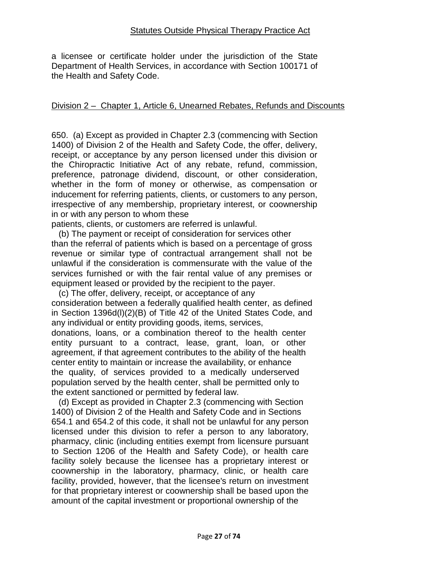a licensee or certificate holder under the jurisdiction of the State Department of Health Services, in accordance with Section 100171 of the Health and Safety Code.

# Division 2 – Chapter 1, Article 6, Unearned Rebates, Refunds and Discounts

650. (a) Except as provided in Chapter 2.3 (commencing with Section 1400) of Division 2 of the Health and Safety Code, the offer, delivery, receipt, or acceptance by any person licensed under this division or the Chiropractic Initiative Act of any rebate, refund, commission, preference, patronage dividend, discount, or other consideration, whether in the form of money or otherwise, as compensation or inducement for referring patients, clients, or customers to any person, irrespective of any membership, proprietary interest, or coownership in or with any person to whom these

patients, clients, or customers are referred is unlawful.

(b) The payment or receipt of consideration for services other than the referral of patients which is based on a percentage of gross revenue or similar type of contractual arrangement shall not be unlawful if the consideration is commensurate with the value of the services furnished or with the fair rental value of any premises or equipment leased or provided by the recipient to the payer.

(c) The offer, delivery, receipt, or acceptance of any consideration between a federally qualified health center, as defined in Section 1396d(l)(2)(B) of Title 42 of the United States Code, and any individual or entity providing goods, items, services, donations, loans, or a combination thereof to the health center entity pursuant to a contract, lease, grant, loan, or other agreement, if that agreement contributes to the ability of the health center entity to maintain or increase the availability, or enhance the quality, of services provided to a medically underserved population served by the health center, shall be permitted only to the extent sanctioned or permitted by federal law.

(d) Except as provided in Chapter 2.3 (commencing with Section 1400) of Division 2 of the Health and Safety Code and in Sections 654.1 and 654.2 of this code, it shall not be unlawful for any person licensed under this division to refer a person to any laboratory, pharmacy, clinic (including entities exempt from licensure pursuant to Section 1206 of the Health and Safety Code), or health care facility solely because the licensee has a proprietary interest or coownership in the laboratory, pharmacy, clinic, or health care facility, provided, however, that the licensee's return on investment for that proprietary interest or coownership shall be based upon the amount of the capital investment or proportional ownership of the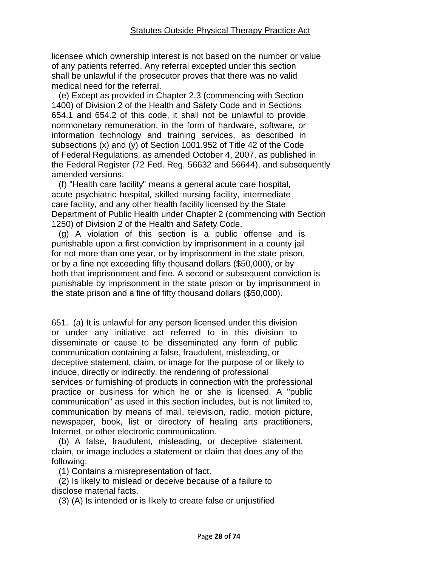licensee which ownership interest is not based on the number or value of any patients referred. Any referral excepted under this section shall be unlawful if the prosecutor proves that there was no valid medical need for the referral.

(e) Except as provided in Chapter 2.3 (commencing with Section 1400) of Division 2 of the Health and Safety Code and in Sections 654.1 and 654.2 of this code, it shall not be unlawful to provide nonmonetary remuneration, in the form of hardware, software, or information technology and training services, as described in subsections (x) and (y) of Section 1001.952 of Title 42 of the Code of Federal Regulations, as amended October 4, 2007, as published in the Federal Register (72 Fed. Reg. 56632 and 56644), and subsequently amended versions.

(f) "Health care facility" means a general acute care hospital, acute psychiatric hospital, skilled nursing facility, intermediate care facility, and any other health facility licensed by the State Department of Public Health under Chapter 2 (commencing with Section 1250) of Division 2 of the Health and Safety Code.

(g) A violation of this section is a public offense and is punishable upon a first conviction by imprisonment in a county jail for not more than one year, or by imprisonment in the state prison, or by a fine not exceeding fifty thousand dollars (\$50,000), or by both that imprisonment and fine. A second or subsequent conviction is punishable by imprisonment in the state prison or by imprisonment in the state prison and a fine of fifty thousand dollars (\$50,000).

651. (a) It is unlawful for any person licensed under this division or under any initiative act referred to in this division to disseminate or cause to be disseminated any form of public communication containing a false, fraudulent, misleading, or deceptive statement, claim, or image for the purpose of or likely to induce, directly or indirectly, the rendering of professional services or furnishing of products in connection with the professional practice or business for which he or she is licensed. A "public communication" as used in this section includes, but is not limited to, communication by means of mail, television, radio, motion picture, newspaper, book, list or directory of healing arts practitioners, Internet, or other electronic communication.

(b) A false, fraudulent, misleading, or deceptive statement, claim, or image includes a statement or claim that does any of the following:

(1) Contains a misrepresentation of fact.

(2) Is likely to mislead or deceive because of a failure to disclose material facts.

(3) (A) Is intended or is likely to create false or unjustified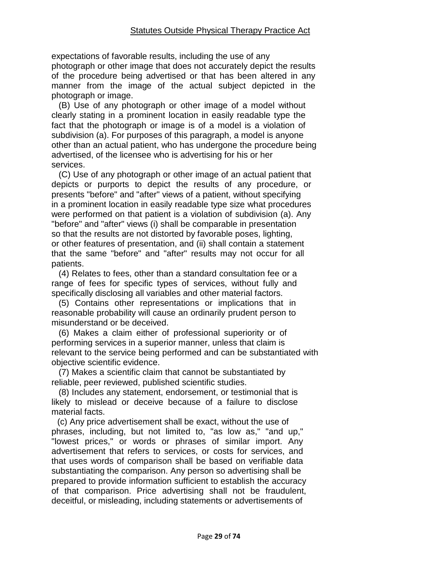expectations of favorable results, including the use of any photograph or other image that does not accurately depict the results of the procedure being advertised or that has been altered in any manner from the image of the actual subject depicted in the photograph or image.

(B) Use of any photograph or other image of a model without clearly stating in a prominent location in easily readable type the fact that the photograph or image is of a model is a violation of subdivision (a). For purposes of this paragraph, a model is anyone other than an actual patient, who has undergone the procedure being advertised, of the licensee who is advertising for his or her services.

(C) Use of any photograph or other image of an actual patient that depicts or purports to depict the results of any procedure, or presents "before" and "after" views of a patient, without specifying in a prominent location in easily readable type size what procedures were performed on that patient is a violation of subdivision (a). Any "before" and "after" views (i) shall be comparable in presentation so that the results are not distorted by favorable poses, lighting, or other features of presentation, and (ii) shall contain a statement that the same "before" and "after" results may not occur for all patients.

(4) Relates to fees, other than a standard consultation fee or a range of fees for specific types of services, without fully and specifically disclosing all variables and other material factors.

(5) Contains other representations or implications that in reasonable probability will cause an ordinarily prudent person to misunderstand or be deceived.

(6) Makes a claim either of professional superiority or of performing services in a superior manner, unless that claim is relevant to the service being performed and can be substantiated with objective scientific evidence.

(7) Makes a scientific claim that cannot be substantiated by reliable, peer reviewed, published scientific studies.

(8) Includes any statement, endorsement, or testimonial that is likely to mislead or deceive because of a failure to disclose material facts.

(c) Any price advertisement shall be exact, without the use of phrases, including, but not limited to, "as low as," "and up," "lowest prices," or words or phrases of similar import. Any advertisement that refers to services, or costs for services, and that uses words of comparison shall be based on verifiable data substantiating the comparison. Any person so advertising shall be prepared to provide information sufficient to establish the accuracy of that comparison. Price advertising shall not be fraudulent, deceitful, or misleading, including statements or advertisements of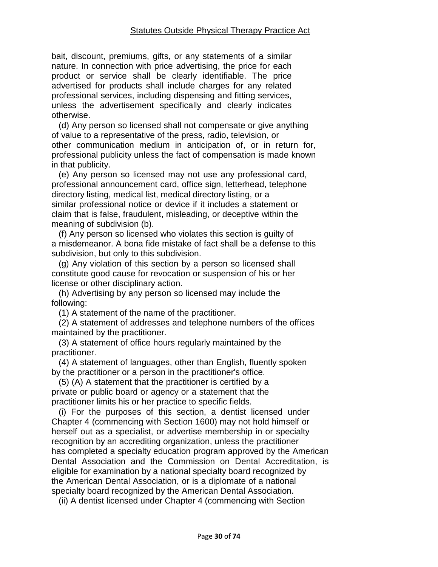bait, discount, premiums, gifts, or any statements of a similar nature. In connection with price advertising, the price for each product or service shall be clearly identifiable. The price advertised for products shall include charges for any related professional services, including dispensing and fitting services, unless the advertisement specifically and clearly indicates otherwise.

(d) Any person so licensed shall not compensate or give anything of value to a representative of the press, radio, television, or other communication medium in anticipation of, or in return for, professional publicity unless the fact of compensation is made known in that publicity.

(e) Any person so licensed may not use any professional card, professional announcement card, office sign, letterhead, telephone directory listing, medical list, medical directory listing, or a similar professional notice or device if it includes a statement or claim that is false, fraudulent, misleading, or deceptive within the meaning of subdivision (b).

(f) Any person so licensed who violates this section is guilty of a misdemeanor. A bona fide mistake of fact shall be a defense to this subdivision, but only to this subdivision.

(g) Any violation of this section by a person so licensed shall constitute good cause for revocation or suspension of his or her license or other disciplinary action.

(h) Advertising by any person so licensed may include the following:

(1) A statement of the name of the practitioner.

(2) A statement of addresses and telephone numbers of the offices maintained by the practitioner.

(3) A statement of office hours regularly maintained by the practitioner.

(4) A statement of languages, other than English, fluently spoken by the practitioner or a person in the practitioner's office.

(5) (A) A statement that the practitioner is certified by a private or public board or agency or a statement that the practitioner limits his or her practice to specific fields.

(i) For the purposes of this section, a dentist licensed under Chapter 4 (commencing with Section 1600) may not hold himself or herself out as a specialist, or advertise membership in or specialty recognition by an accrediting organization, unless the practitioner has completed a specialty education program approved by the American Dental Association and the Commission on Dental Accreditation, is eligible for examination by a national specialty board recognized by the American Dental Association, or is a diplomate of a national specialty board recognized by the American Dental Association.

(ii) A dentist licensed under Chapter 4 (commencing with Section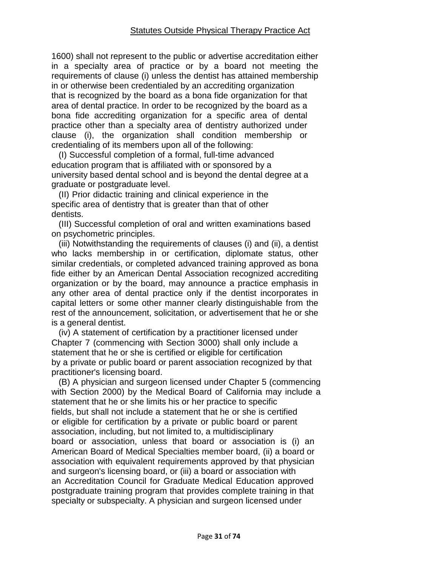1600) shall not represent to the public or advertise accreditation either in a specialty area of practice or by a board not meeting the requirements of clause (i) unless the dentist has attained membership in or otherwise been credentialed by an accrediting organization that is recognized by the board as a bona fide organization for that area of dental practice. In order to be recognized by the board as a bona fide accrediting organization for a specific area of dental practice other than a specialty area of dentistry authorized under clause (i), the organization shall condition membership or credentialing of its members upon all of the following:

(I) Successful completion of a formal, full-time advanced education program that is affiliated with or sponsored by a university based dental school and is beyond the dental degree at a graduate or postgraduate level.

(II) Prior didactic training and clinical experience in the specific area of dentistry that is greater than that of other dentists.

(III) Successful completion of oral and written examinations based on psychometric principles.

(iii) Notwithstanding the requirements of clauses (i) and (ii), a dentist who lacks membership in or certification, diplomate status, other similar credentials, or completed advanced training approved as bona fide either by an American Dental Association recognized accrediting organization or by the board, may announce a practice emphasis in any other area of dental practice only if the dentist incorporates in capital letters or some other manner clearly distinguishable from the rest of the announcement, solicitation, or advertisement that he or she is a general dentist.

(iv) A statement of certification by a practitioner licensed under Chapter 7 (commencing with Section 3000) shall only include a statement that he or she is certified or eligible for certification by a private or public board or parent association recognized by that practitioner's licensing board.

(B) A physician and surgeon licensed under Chapter 5 (commencing with Section 2000) by the Medical Board of California may include a statement that he or she limits his or her practice to specific fields, but shall not include a statement that he or she is certified or eligible for certification by a private or public board or parent association, including, but not limited to, a multidisciplinary board or association, unless that board or association is (i) an American Board of Medical Specialties member board, (ii) a board or association with equivalent requirements approved by that physician and surgeon's licensing board, or (iii) a board or association with an Accreditation Council for Graduate Medical Education approved postgraduate training program that provides complete training in that specialty or subspecialty. A physician and surgeon licensed under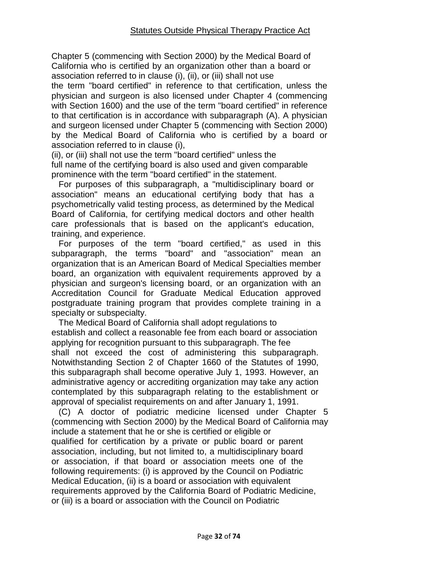Chapter 5 (commencing with Section 2000) by the Medical Board of California who is certified by an organization other than a board or association referred to in clause (i), (ii), or (iii) shall not use

the term "board certified" in reference to that certification, unless the physician and surgeon is also licensed under Chapter 4 (commencing with Section 1600) and the use of the term "board certified" in reference to that certification is in accordance with subparagraph (A). A physician and surgeon licensed under Chapter 5 (commencing with Section 2000) by the Medical Board of California who is certified by a board or association referred to in clause (i),

(ii), or (iii) shall not use the term "board certified" unless the full name of the certifying board is also used and given comparable prominence with the term "board certified" in the statement.

For purposes of this subparagraph, a "multidisciplinary board or association" means an educational certifying body that has a psychometrically valid testing process, as determined by the Medical Board of California, for certifying medical doctors and other health care professionals that is based on the applicant's education, training, and experience.

For purposes of the term "board certified," as used in this subparagraph, the terms "board" and "association" mean an organization that is an American Board of Medical Specialties member board, an organization with equivalent requirements approved by a physician and surgeon's licensing board, or an organization with an Accreditation Council for Graduate Medical Education approved postgraduate training program that provides complete training in a specialty or subspecialty.

The Medical Board of California shall adopt regulations to establish and collect a reasonable fee from each board or association applying for recognition pursuant to this subparagraph. The fee shall not exceed the cost of administering this subparagraph. Notwithstanding Section 2 of Chapter 1660 of the Statutes of 1990, this subparagraph shall become operative July 1, 1993. However, an administrative agency or accrediting organization may take any action contemplated by this subparagraph relating to the establishment or approval of specialist requirements on and after January 1, 1991.

(C) A doctor of podiatric medicine licensed under Chapter 5 (commencing with Section 2000) by the Medical Board of California may include a statement that he or she is certified or eligible or qualified for certification by a private or public board or parent association, including, but not limited to, a multidisciplinary board or association, if that board or association meets one of the following requirements: (i) is approved by the Council on Podiatric Medical Education, (ii) is a board or association with equivalent requirements approved by the California Board of Podiatric Medicine, or (iii) is a board or association with the Council on Podiatric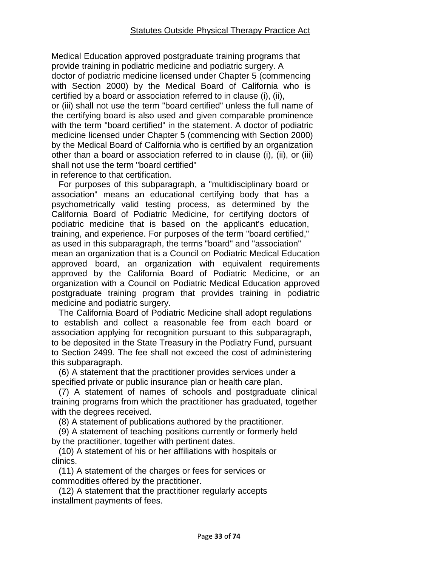Medical Education approved postgraduate training programs that provide training in podiatric medicine and podiatric surgery. A

doctor of podiatric medicine licensed under Chapter 5 (commencing with Section 2000) by the Medical Board of California who is certified by a board or association referred to in clause (i), (ii),

or (iii) shall not use the term "board certified" unless the full name of the certifying board is also used and given comparable prominence with the term "board certified" in the statement. A doctor of podiatric medicine licensed under Chapter 5 (commencing with Section 2000) by the Medical Board of California who is certified by an organization other than a board or association referred to in clause (i), (ii), or (iii) shall not use the term "board certified"

in reference to that certification.

For purposes of this subparagraph, a "multidisciplinary board or association" means an educational certifying body that has a psychometrically valid testing process, as determined by the California Board of Podiatric Medicine, for certifying doctors of podiatric medicine that is based on the applicant's education, training, and experience. For purposes of the term "board certified," as used in this subparagraph, the terms "board" and "association" mean an organization that is a Council on Podiatric Medical Education approved board, an organization with equivalent requirements approved by the California Board of Podiatric Medicine, or an organization with a Council on Podiatric Medical Education approved postgraduate training program that provides training in podiatric medicine and podiatric surgery.

The California Board of Podiatric Medicine shall adopt regulations to establish and collect a reasonable fee from each board or association applying for recognition pursuant to this subparagraph, to be deposited in the State Treasury in the Podiatry Fund, pursuant to Section 2499. The fee shall not exceed the cost of administering this subparagraph.

(6) A statement that the practitioner provides services under a specified private or public insurance plan or health care plan.

(7) A statement of names of schools and postgraduate clinical training programs from which the practitioner has graduated, together with the degrees received.

(8) A statement of publications authored by the practitioner.

(9) A statement of teaching positions currently or formerly held by the practitioner, together with pertinent dates.

(10) A statement of his or her affiliations with hospitals or clinics.

(11) A statement of the charges or fees for services or commodities offered by the practitioner.

(12) A statement that the practitioner regularly accepts installment payments of fees.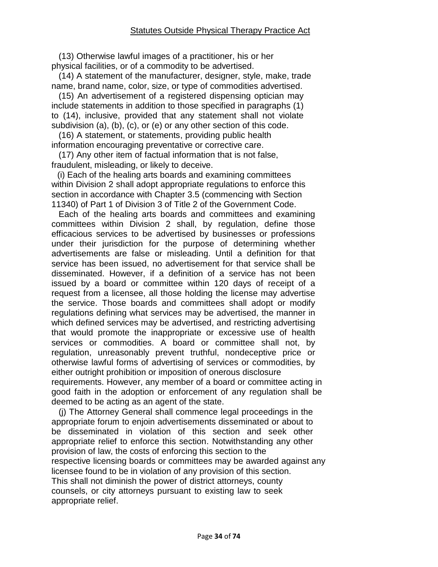(13) Otherwise lawful images of a practitioner, his or her physical facilities, or of a commodity to be advertised.

(14) A statement of the manufacturer, designer, style, make, trade name, brand name, color, size, or type of commodities advertised.

(15) An advertisement of a registered dispensing optician may include statements in addition to those specified in paragraphs (1) to (14), inclusive, provided that any statement shall not violate subdivision (a), (b), (c), or (e) or any other section of this code.

(16) A statement, or statements, providing public health information encouraging preventative or corrective care.

(17) Any other item of factual information that is not false, fraudulent, misleading, or likely to deceive.

(i) Each of the healing arts boards and examining committees within Division 2 shall adopt appropriate regulations to enforce this section in accordance with Chapter 3.5 (commencing with Section 11340) of Part 1 of Division 3 of Title 2 of the Government Code.

Each of the healing arts boards and committees and examining committees within Division 2 shall, by regulation, define those efficacious services to be advertised by businesses or professions under their jurisdiction for the purpose of determining whether advertisements are false or misleading. Until a definition for that service has been issued, no advertisement for that service shall be disseminated. However, if a definition of a service has not been issued by a board or committee within 120 days of receipt of a request from a licensee, all those holding the license may advertise the service. Those boards and committees shall adopt or modify regulations defining what services may be advertised, the manner in which defined services may be advertised, and restricting advertising that would promote the inappropriate or excessive use of health services or commodities. A board or committee shall not, by regulation, unreasonably prevent truthful, nondeceptive price or otherwise lawful forms of advertising of services or commodities, by either outright prohibition or imposition of onerous disclosure requirements. However, any member of a board or committee acting in good faith in the adoption or enforcement of any regulation shall be deemed to be acting as an agent of the state.

(j) The Attorney General shall commence legal proceedings in the appropriate forum to enjoin advertisements disseminated or about to be disseminated in violation of this section and seek other appropriate relief to enforce this section. Notwithstanding any other provision of law, the costs of enforcing this section to the respective licensing boards or committees may be awarded against any licensee found to be in violation of any provision of this section. This shall not diminish the power of district attorneys, county counsels, or city attorneys pursuant to existing law to seek appropriate relief.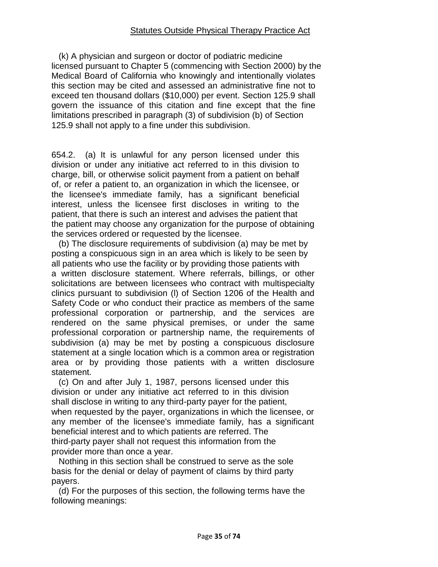(k) A physician and surgeon or doctor of podiatric medicine licensed pursuant to Chapter 5 (commencing with Section 2000) by the Medical Board of California who knowingly and intentionally violates this section may be cited and assessed an administrative fine not to exceed ten thousand dollars (\$10,000) per event. Section 125.9 shall govern the issuance of this citation and fine except that the fine limitations prescribed in paragraph (3) of subdivision (b) of Section 125.9 shall not apply to a fine under this subdivision.

654.2. (a) It is unlawful for any person licensed under this division or under any initiative act referred to in this division to charge, bill, or otherwise solicit payment from a patient on behalf of, or refer a patient to, an organization in which the licensee, or the licensee's immediate family, has a significant beneficial interest, unless the licensee first discloses in writing to the patient, that there is such an interest and advises the patient that the patient may choose any organization for the purpose of obtaining the services ordered or requested by the licensee.

(b) The disclosure requirements of subdivision (a) may be met by posting a conspicuous sign in an area which is likely to be seen by all patients who use the facility or by providing those patients with a written disclosure statement. Where referrals, billings, or other solicitations are between licensees who contract with multispecialty clinics pursuant to subdivision (l) of Section 1206 of the Health and Safety Code or who conduct their practice as members of the same professional corporation or partnership, and the services are rendered on the same physical premises, or under the same professional corporation or partnership name, the requirements of subdivision (a) may be met by posting a conspicuous disclosure statement at a single location which is a common area or registration area or by providing those patients with a written disclosure statement.

(c) On and after July 1, 1987, persons licensed under this division or under any initiative act referred to in this division shall disclose in writing to any third-party payer for the patient, when requested by the payer, organizations in which the licensee, or any member of the licensee's immediate family, has a significant beneficial interest and to which patients are referred. The third-party payer shall not request this information from the provider more than once a year.

Nothing in this section shall be construed to serve as the sole basis for the denial or delay of payment of claims by third party payers.

(d) For the purposes of this section, the following terms have the following meanings: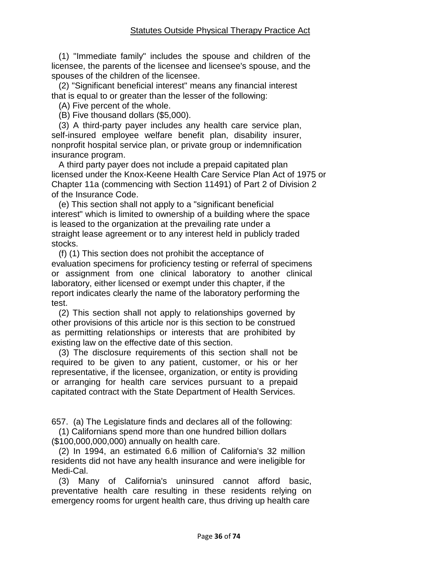(1) "Immediate family" includes the spouse and children of the licensee, the parents of the licensee and licensee's spouse, and the spouses of the children of the licensee.

(2) "Significant beneficial interest" means any financial interest that is equal to or greater than the lesser of the following:

(A) Five percent of the whole.

(B) Five thousand dollars (\$5,000).

(3) A third-party payer includes any health care service plan, self-insured employee welfare benefit plan, disability insurer, nonprofit hospital service plan, or private group or indemnification insurance program.

A third party payer does not include a prepaid capitated plan licensed under the Knox-Keene Health Care Service Plan Act of 1975 or Chapter 11a (commencing with Section 11491) of Part 2 of Division 2 of the Insurance Code.

(e) This section shall not apply to a "significant beneficial interest" which is limited to ownership of a building where the space is leased to the organization at the prevailing rate under a straight lease agreement or to any interest held in publicly traded stocks.

(f) (1) This section does not prohibit the acceptance of evaluation specimens for proficiency testing or referral of specimens or assignment from one clinical laboratory to another clinical laboratory, either licensed or exempt under this chapter, if the report indicates clearly the name of the laboratory performing the test.

(2) This section shall not apply to relationships governed by other provisions of this article nor is this section to be construed as permitting relationships or interests that are prohibited by existing law on the effective date of this section.

(3) The disclosure requirements of this section shall not be required to be given to any patient, customer, or his or her representative, if the licensee, organization, or entity is providing or arranging for health care services pursuant to a prepaid capitated contract with the State Department of Health Services.

657. (a) The Legislature finds and declares all of the following:

(1) Californians spend more than one hundred billion dollars (\$100,000,000,000) annually on health care.

(2) In 1994, an estimated 6.6 million of California's 32 million residents did not have any health insurance and were ineligible for Medi-Cal.

(3) Many of California's uninsured cannot afford basic, preventative health care resulting in these residents relying on emergency rooms for urgent health care, thus driving up health care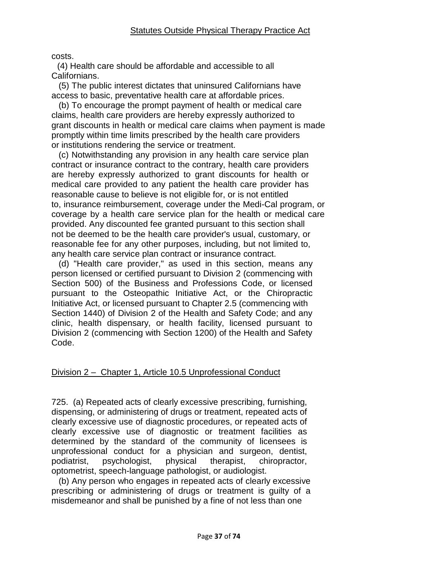costs.

(4) Health care should be affordable and accessible to all Californians.

(5) The public interest dictates that uninsured Californians have access to basic, preventative health care at affordable prices.

(b) To encourage the prompt payment of health or medical care claims, health care providers are hereby expressly authorized to grant discounts in health or medical care claims when payment is made promptly within time limits prescribed by the health care providers or institutions rendering the service or treatment.

(c) Notwithstanding any provision in any health care service plan contract or insurance contract to the contrary, health care providers are hereby expressly authorized to grant discounts for health or medical care provided to any patient the health care provider has reasonable cause to believe is not eligible for, or is not entitled to, insurance reimbursement, coverage under the Medi-Cal program, or coverage by a health care service plan for the health or medical care provided. Any discounted fee granted pursuant to this section shall not be deemed to be the health care provider's usual, customary, or reasonable fee for any other purposes, including, but not limited to, any health care service plan contract or insurance contract.

(d) "Health care provider," as used in this section, means any person licensed or certified pursuant to Division 2 (commencing with Section 500) of the Business and Professions Code, or licensed pursuant to the Osteopathic Initiative Act, or the Chiropractic Initiative Act, or licensed pursuant to Chapter 2.5 (commencing with Section 1440) of Division 2 of the Health and Safety Code; and any clinic, health dispensary, or health facility, licensed pursuant to Division 2 (commencing with Section 1200) of the Health and Safety Code.

### Division 2 – Chapter 1, Article 10.5 Unprofessional Conduct

725. (a) Repeated acts of clearly excessive prescribing, furnishing, dispensing, or administering of drugs or treatment, repeated acts of clearly excessive use of diagnostic procedures, or repeated acts of clearly excessive use of diagnostic or treatment facilities as determined by the standard of the community of licensees is unprofessional conduct for a physician and surgeon, dentist, podiatrist, psychologist, physical therapist, chiropractor, optometrist, speech-language pathologist, or audiologist.

(b) Any person who engages in repeated acts of clearly excessive prescribing or administering of drugs or treatment is guilty of a misdemeanor and shall be punished by a fine of not less than one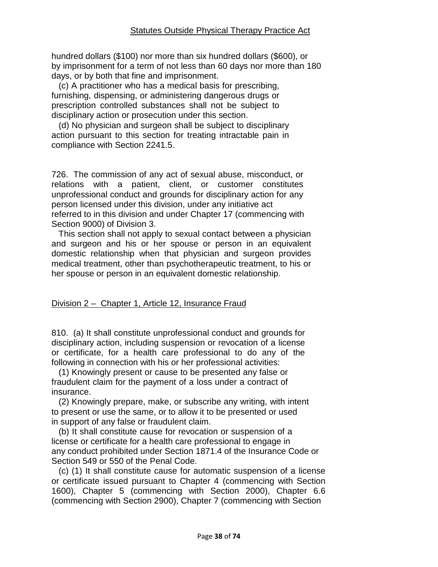hundred dollars (\$100) nor more than six hundred dollars (\$600), or by imprisonment for a term of not less than 60 days nor more than 180 days, or by both that fine and imprisonment.

(c) A practitioner who has a medical basis for prescribing, furnishing, dispensing, or administering dangerous drugs or prescription controlled substances shall not be subject to disciplinary action or prosecution under this section.

(d) No physician and surgeon shall be subject to disciplinary action pursuant to this section for treating intractable pain in compliance with Section 2241.5.

726. The commission of any act of sexual abuse, misconduct, or relations with a patient, client, or customer constitutes unprofessional conduct and grounds for disciplinary action for any person licensed under this division, under any initiative act referred to in this division and under Chapter 17 (commencing with Section 9000) of Division 3.

This section shall not apply to sexual contact between a physician and surgeon and his or her spouse or person in an equivalent domestic relationship when that physician and surgeon provides medical treatment, other than psychotherapeutic treatment, to his or her spouse or person in an equivalent domestic relationship.

## Division 2 – Chapter 1, Article 12, Insurance Fraud

810. (a) It shall constitute unprofessional conduct and grounds for disciplinary action, including suspension or revocation of a license or certificate, for a health care professional to do any of the following in connection with his or her professional activities:

(1) Knowingly present or cause to be presented any false or fraudulent claim for the payment of a loss under a contract of insurance.

(2) Knowingly prepare, make, or subscribe any writing, with intent to present or use the same, or to allow it to be presented or used in support of any false or fraudulent claim.

(b) It shall constitute cause for revocation or suspension of a license or certificate for a health care professional to engage in any conduct prohibited under Section 1871.4 of the Insurance Code or Section 549 or 550 of the Penal Code.

(c) (1) It shall constitute cause for automatic suspension of a license or certificate issued pursuant to Chapter 4 (commencing with Section 1600), Chapter 5 (commencing with Section 2000), Chapter 6.6 (commencing with Section 2900), Chapter 7 (commencing with Section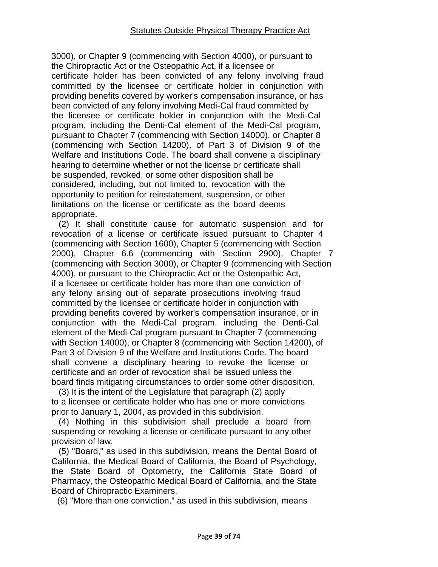3000), or Chapter 9 (commencing with Section 4000), or pursuant to the Chiropractic Act or the Osteopathic Act, if a licensee or certificate holder has been convicted of any felony involving fraud committed by the licensee or certificate holder in conjunction with providing benefits covered by worker's compensation insurance, or has been convicted of any felony involving Medi-Cal fraud committed by the licensee or certificate holder in conjunction with the Medi-Cal program, including the Denti-Cal element of the Medi-Cal program, pursuant to Chapter 7 (commencing with Section 14000), or Chapter 8 (commencing with Section 14200), of Part 3 of Division 9 of the Welfare and Institutions Code. The board shall convene a disciplinary hearing to determine whether or not the license or certificate shall be suspended, revoked, or some other disposition shall be considered, including, but not limited to, revocation with the opportunity to petition for reinstatement, suspension, or other limitations on the license or certificate as the board deems appropriate.

(2) It shall constitute cause for automatic suspension and for revocation of a license or certificate issued pursuant to Chapter 4 (commencing with Section 1600), Chapter 5 (commencing with Section 2000), Chapter 6.6 (commencing with Section 2900), Chapter 7 (commencing with Section 3000), or Chapter 9 (commencing with Section 4000), or pursuant to the Chiropractic Act or the Osteopathic Act, if a licensee or certificate holder has more than one conviction of any felony arising out of separate prosecutions involving fraud committed by the licensee or certificate holder in conjunction with providing benefits covered by worker's compensation insurance, or in conjunction with the Medi-Cal program, including the Denti-Cal element of the Medi-Cal program pursuant to Chapter 7 (commencing with Section 14000), or Chapter 8 (commencing with Section 14200), of Part 3 of Division 9 of the Welfare and Institutions Code. The board shall convene a disciplinary hearing to revoke the license or certificate and an order of revocation shall be issued unless the board finds mitigating circumstances to order some other disposition.

(3) It is the intent of the Legislature that paragraph (2) apply to a licensee or certificate holder who has one or more convictions prior to January 1, 2004, as provided in this subdivision.

(4) Nothing in this subdivision shall preclude a board from suspending or revoking a license or certificate pursuant to any other provision of law.

(5) "Board," as used in this subdivision, means the Dental Board of California, the Medical Board of California, the Board of Psychology, the State Board of Optometry, the California State Board of Pharmacy, the Osteopathic Medical Board of California, and the State Board of Chiropractic Examiners.

(6) "More than one conviction," as used in this subdivision, means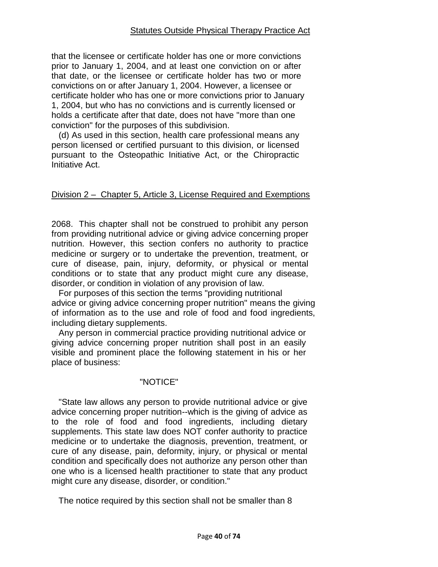that the licensee or certificate holder has one or more convictions prior to January 1, 2004, and at least one conviction on or after that date, or the licensee or certificate holder has two or more convictions on or after January 1, 2004. However, a licensee or certificate holder who has one or more convictions prior to January 1, 2004, but who has no convictions and is currently licensed or holds a certificate after that date, does not have "more than one conviction" for the purposes of this subdivision.

(d) As used in this section, health care professional means any person licensed or certified pursuant to this division, or licensed pursuant to the Osteopathic Initiative Act, or the Chiropractic Initiative Act.

## Division 2 – Chapter 5, Article 3, License Required and Exemptions

2068. This chapter shall not be construed to prohibit any person from providing nutritional advice or giving advice concerning proper nutrition. However, this section confers no authority to practice medicine or surgery or to undertake the prevention, treatment, or cure of disease, pain, injury, deformity, or physical or mental conditions or to state that any product might cure any disease, disorder, or condition in violation of any provision of law.

For purposes of this section the terms "providing nutritional advice or giving advice concerning proper nutrition" means the giving of information as to the use and role of food and food ingredients, including dietary supplements.

Any person in commercial practice providing nutritional advice or giving advice concerning proper nutrition shall post in an easily visible and prominent place the following statement in his or her place of business:

### "NOTICE"

"State law allows any person to provide nutritional advice or give advice concerning proper nutrition--which is the giving of advice as to the role of food and food ingredients, including dietary supplements. This state law does NOT confer authority to practice medicine or to undertake the diagnosis, prevention, treatment, or cure of any disease, pain, deformity, injury, or physical or mental condition and specifically does not authorize any person other than one who is a licensed health practitioner to state that any product might cure any disease, disorder, or condition."

The notice required by this section shall not be smaller than 8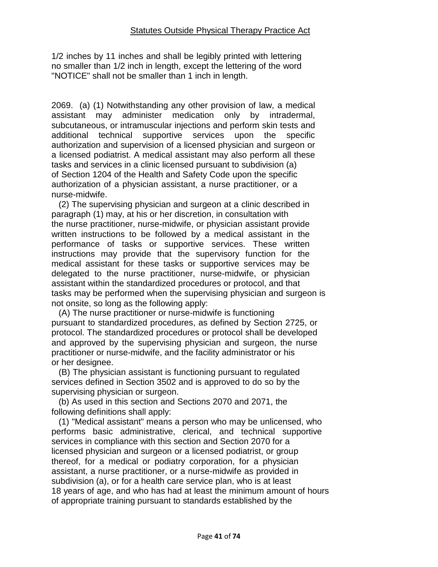1/2 inches by 11 inches and shall be legibly printed with lettering no smaller than 1/2 inch in length, except the lettering of the word "NOTICE" shall not be smaller than 1 inch in length.

2069. (a) (1) Notwithstanding any other provision of law, a medical assistant may administer medication only by intradermal, subcutaneous, or intramuscular injections and perform skin tests and additional technical supportive services upon the specific authorization and supervision of a licensed physician and surgeon or a licensed podiatrist. A medical assistant may also perform all these tasks and services in a clinic licensed pursuant to subdivision (a) of Section 1204 of the Health and Safety Code upon the specific authorization of a physician assistant, a nurse practitioner, or a nurse-midwife.

(2) The supervising physician and surgeon at a clinic described in paragraph (1) may, at his or her discretion, in consultation with the nurse practitioner, nurse-midwife, or physician assistant provide written instructions to be followed by a medical assistant in the performance of tasks or supportive services. These written instructions may provide that the supervisory function for the medical assistant for these tasks or supportive services may be delegated to the nurse practitioner, nurse-midwife, or physician assistant within the standardized procedures or protocol, and that tasks may be performed when the supervising physician and surgeon is not onsite, so long as the following apply:

(A) The nurse practitioner or nurse-midwife is functioning pursuant to standardized procedures, as defined by Section 2725, or protocol. The standardized procedures or protocol shall be developed and approved by the supervising physician and surgeon, the nurse practitioner or nurse-midwife, and the facility administrator or his or her designee.

(B) The physician assistant is functioning pursuant to regulated services defined in Section 3502 and is approved to do so by the supervising physician or surgeon.

(b) As used in this section and Sections 2070 and 2071, the following definitions shall apply:

(1) "Medical assistant" means a person who may be unlicensed, who performs basic administrative, clerical, and technical supportive services in compliance with this section and Section 2070 for a licensed physician and surgeon or a licensed podiatrist, or group thereof, for a medical or podiatry corporation, for a physician assistant, a nurse practitioner, or a nurse-midwife as provided in subdivision (a), or for a health care service plan, who is at least 18 years of age, and who has had at least the minimum amount of hours of appropriate training pursuant to standards established by the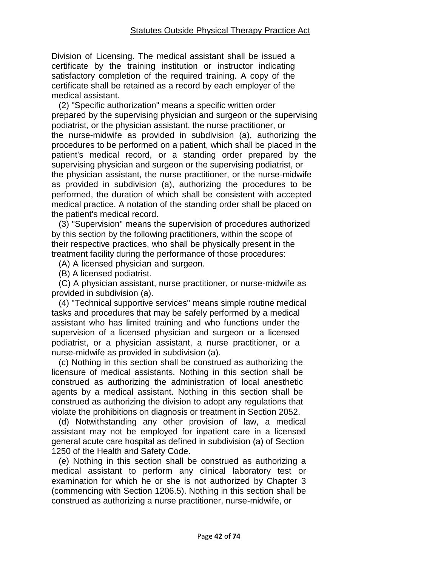Division of Licensing. The medical assistant shall be issued a certificate by the training institution or instructor indicating satisfactory completion of the required training. A copy of the certificate shall be retained as a record by each employer of the medical assistant.

(2) "Specific authorization" means a specific written order prepared by the supervising physician and surgeon or the supervising podiatrist, or the physician assistant, the nurse practitioner, or the nurse-midwife as provided in subdivision (a), authorizing the procedures to be performed on a patient, which shall be placed in the patient's medical record, or a standing order prepared by the supervising physician and surgeon or the supervising podiatrist, or the physician assistant, the nurse practitioner, or the nurse-midwife as provided in subdivision (a), authorizing the procedures to be performed, the duration of which shall be consistent with accepted medical practice. A notation of the standing order shall be placed on the patient's medical record.

(3) "Supervision" means the supervision of procedures authorized by this section by the following practitioners, within the scope of their respective practices, who shall be physically present in the treatment facility during the performance of those procedures:

(A) A licensed physician and surgeon.

(B) A licensed podiatrist.

(C) A physician assistant, nurse practitioner, or nurse-midwife as provided in subdivision (a).

(4) "Technical supportive services" means simple routine medical tasks and procedures that may be safely performed by a medical assistant who has limited training and who functions under the supervision of a licensed physician and surgeon or a licensed podiatrist, or a physician assistant, a nurse practitioner, or a nurse-midwife as provided in subdivision (a).

(c) Nothing in this section shall be construed as authorizing the licensure of medical assistants. Nothing in this section shall be construed as authorizing the administration of local anesthetic agents by a medical assistant. Nothing in this section shall be construed as authorizing the division to adopt any regulations that violate the prohibitions on diagnosis or treatment in Section 2052.

(d) Notwithstanding any other provision of law, a medical assistant may not be employed for inpatient care in a licensed general acute care hospital as defined in subdivision (a) of Section 1250 of the Health and Safety Code.

(e) Nothing in this section shall be construed as authorizing a medical assistant to perform any clinical laboratory test or examination for which he or she is not authorized by Chapter 3 (commencing with Section 1206.5). Nothing in this section shall be construed as authorizing a nurse practitioner, nurse-midwife, or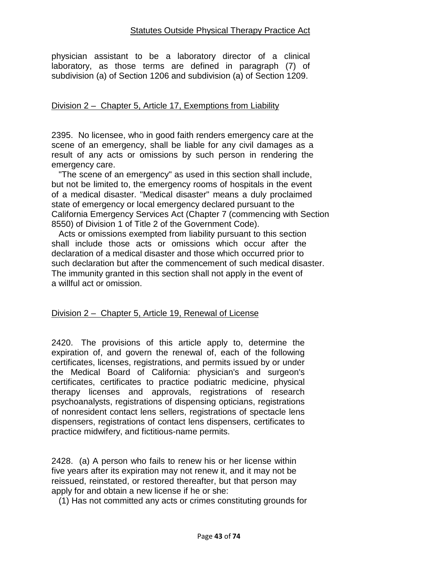physician assistant to be a laboratory director of a clinical laboratory, as those terms are defined in paragraph (7) of subdivision (a) of Section 1206 and subdivision (a) of Section 1209.

## Division 2 – Chapter 5, Article 17, Exemptions from Liability

2395. No licensee, who in good faith renders emergency care at the scene of an emergency, shall be liable for any civil damages as a result of any acts or omissions by such person in rendering the emergency care.

"The scene of an emergency" as used in this section shall include, but not be limited to, the emergency rooms of hospitals in the event of a medical disaster. "Medical disaster" means a duly proclaimed state of emergency or local emergency declared pursuant to the California Emergency Services Act (Chapter 7 (commencing with Section 8550) of Division 1 of Title 2 of the Government Code).

Acts or omissions exempted from liability pursuant to this section shall include those acts or omissions which occur after the declaration of a medical disaster and those which occurred prior to such declaration but after the commencement of such medical disaster. The immunity granted in this section shall not apply in the event of a willful act or omission.

### Division 2 – Chapter 5, Article 19, Renewal of License

2420. The provisions of this article apply to, determine the expiration of, and govern the renewal of, each of the following certificates, licenses, registrations, and permits issued by or under the Medical Board of California: physician's and surgeon's certificates, certificates to practice podiatric medicine, physical therapy licenses and approvals, registrations of research psychoanalysts, registrations of dispensing opticians, registrations of nonresident contact lens sellers, registrations of spectacle lens dispensers, registrations of contact lens dispensers, certificates to practice midwifery, and fictitious-name permits.

2428. (a) A person who fails to renew his or her license within five years after its expiration may not renew it, and it may not be reissued, reinstated, or restored thereafter, but that person may apply for and obtain a new license if he or she:

(1) Has not committed any acts or crimes constituting grounds for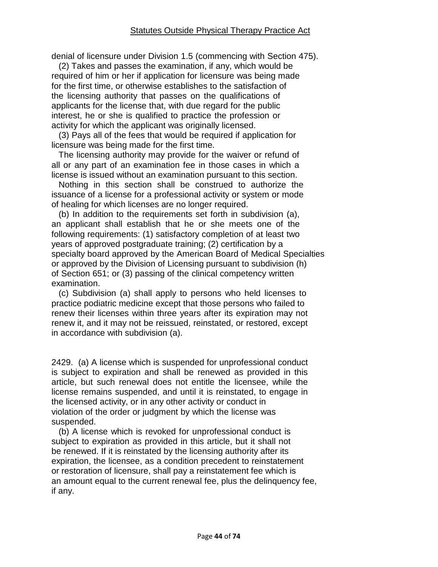denial of licensure under Division 1.5 (commencing with Section 475).

(2) Takes and passes the examination, if any, which would be required of him or her if application for licensure was being made for the first time, or otherwise establishes to the satisfaction of the licensing authority that passes on the qualifications of applicants for the license that, with due regard for the public interest, he or she is qualified to practice the profession or activity for which the applicant was originally licensed.

(3) Pays all of the fees that would be required if application for licensure was being made for the first time.

The licensing authority may provide for the waiver or refund of all or any part of an examination fee in those cases in which a license is issued without an examination pursuant to this section.

Nothing in this section shall be construed to authorize the issuance of a license for a professional activity or system or mode of healing for which licenses are no longer required.

(b) In addition to the requirements set forth in subdivision (a), an applicant shall establish that he or she meets one of the following requirements: (1) satisfactory completion of at least two years of approved postgraduate training; (2) certification by a specialty board approved by the American Board of Medical Specialties or approved by the Division of Licensing pursuant to subdivision (h) of Section 651; or (3) passing of the clinical competency written examination.

(c) Subdivision (a) shall apply to persons who held licenses to practice podiatric medicine except that those persons who failed to renew their licenses within three years after its expiration may not renew it, and it may not be reissued, reinstated, or restored, except in accordance with subdivision (a).

2429. (a) A license which is suspended for unprofessional conduct is subject to expiration and shall be renewed as provided in this article, but such renewal does not entitle the licensee, while the license remains suspended, and until it is reinstated, to engage in the licensed activity, or in any other activity or conduct in violation of the order or judgment by which the license was suspended.

(b) A license which is revoked for unprofessional conduct is subject to expiration as provided in this article, but it shall not be renewed. If it is reinstated by the licensing authority after its expiration, the licensee, as a condition precedent to reinstatement or restoration of licensure, shall pay a reinstatement fee which is an amount equal to the current renewal fee, plus the delinquency fee, if any.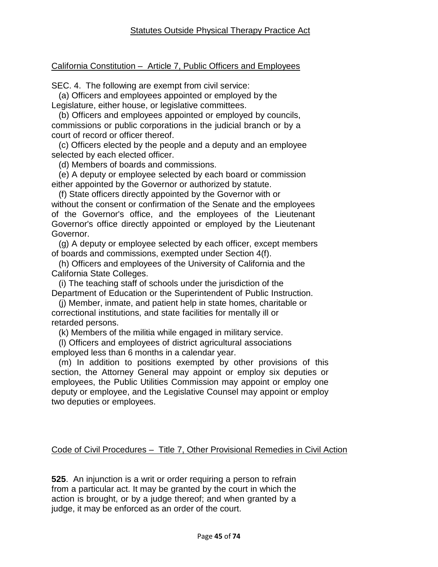## California Constitution – Article 7, Public Officers and Employees

SEC. 4. The following are exempt from civil service:

(a) Officers and employees appointed or employed by the Legislature, either house, or legislative committees.

(b) Officers and employees appointed or employed by councils, commissions or public corporations in the judicial branch or by a court of record or officer thereof.

(c) Officers elected by the people and a deputy and an employee selected by each elected officer.

(d) Members of boards and commissions.

(e) A deputy or employee selected by each board or commission either appointed by the Governor or authorized by statute.

(f) State officers directly appointed by the Governor with or without the consent or confirmation of the Senate and the employees of the Governor's office, and the employees of the Lieutenant Governor's office directly appointed or employed by the Lieutenant Governor.

(g) A deputy or employee selected by each officer, except members of boards and commissions, exempted under Section 4(f).

(h) Officers and employees of the University of California and the California State Colleges.

(i) The teaching staff of schools under the jurisdiction of the Department of Education or the Superintendent of Public Instruction.

(j) Member, inmate, and patient help in state homes, charitable or correctional institutions, and state facilities for mentally ill or retarded persons.

(k) Members of the militia while engaged in military service.

(l) Officers and employees of district agricultural associations employed less than 6 months in a calendar year.

(m) In addition to positions exempted by other provisions of this section, the Attorney General may appoint or employ six deputies or employees, the Public Utilities Commission may appoint or employ one deputy or employee, and the Legislative Counsel may appoint or employ two deputies or employees.

### Code of Civil Procedures – Title 7, Other Provisional Remedies in Civil Action

**525**. An injunction is a writ or order requiring a person to refrain from a particular act. It may be granted by the court in which the action is brought, or by a judge thereof; and when granted by a judge, it may be enforced as an order of the court.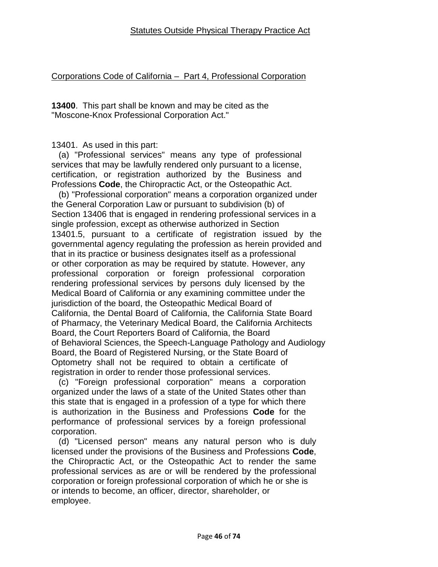## Corporations Code of California – Part 4, Professional Corporation

**13400**. This part shall be known and may be cited as the "Moscone-Knox Professional Corporation Act."

13401. As used in this part:

(a) "Professional services" means any type of professional services that may be lawfully rendered only pursuant to a license, certification, or registration authorized by the Business and Professions **Code**, the Chiropractic Act, or the Osteopathic Act.

(b) "Professional corporation" means a corporation organized under the General Corporation Law or pursuant to subdivision (b) of Section 13406 that is engaged in rendering professional services in a single profession, except as otherwise authorized in Section 13401.5, pursuant to a certificate of registration issued by the governmental agency regulating the profession as herein provided and that in its practice or business designates itself as a professional or other corporation as may be required by statute. However, any professional corporation or foreign professional corporation rendering professional services by persons duly licensed by the Medical Board of California or any examining committee under the jurisdiction of the board, the Osteopathic Medical Board of California, the Dental Board of California, the California State Board of Pharmacy, the Veterinary Medical Board, the California Architects Board, the Court Reporters Board of California, the Board of Behavioral Sciences, the Speech-Language Pathology and Audiology Board, the Board of Registered Nursing, or the State Board of Optometry shall not be required to obtain a certificate of registration in order to render those professional services.

(c) "Foreign professional corporation" means a corporation organized under the laws of a state of the United States other than this state that is engaged in a profession of a type for which there is authorization in the Business and Professions **Code** for the performance of professional services by a foreign professional corporation.

(d) "Licensed person" means any natural person who is duly licensed under the provisions of the Business and Professions **Code**, the Chiropractic Act, or the Osteopathic Act to render the same professional services as are or will be rendered by the professional corporation or foreign professional corporation of which he or she is or intends to become, an officer, director, shareholder, or employee.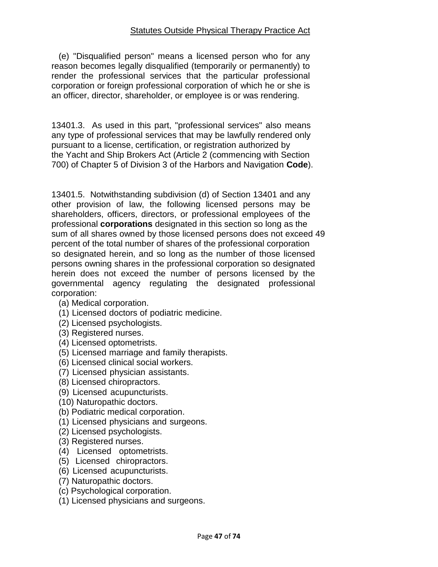(e) "Disqualified person" means a licensed person who for any reason becomes legally disqualified (temporarily or permanently) to render the professional services that the particular professional corporation or foreign professional corporation of which he or she is an officer, director, shareholder, or employee is or was rendering.

13401.3. As used in this part, "professional services" also means any type of professional services that may be lawfully rendered only pursuant to a license, certification, or registration authorized by the Yacht and Ship Brokers Act (Article 2 (commencing with Section 700) of Chapter 5 of Division 3 of the Harbors and Navigation **Code**).

13401.5. Notwithstanding subdivision (d) of Section 13401 and any other provision of law, the following licensed persons may be shareholders, officers, directors, or professional employees of the professional **corporations** designated in this section so long as the sum of all shares owned by those licensed persons does not exceed 49 percent of the total number of shares of the professional corporation so designated herein, and so long as the number of those licensed persons owning shares in the professional corporation so designated herein does not exceed the number of persons licensed by the governmental agency regulating the designated professional corporation:

- (a) Medical corporation.
- (1) Licensed doctors of podiatric medicine.
- (2) Licensed psychologists.
- (3) Registered nurses.
- (4) Licensed optometrists.
- (5) Licensed marriage and family therapists.
- (6) Licensed clinical social workers.
- (7) Licensed physician assistants.
- (8) Licensed chiropractors.
- (9) Licensed acupuncturists.
- (10) Naturopathic doctors.
- (b) Podiatric medical corporation.
- (1) Licensed physicians and surgeons.
- (2) Licensed psychologists.
- (3) Registered nurses.
- (4) Licensed optometrists.
- (5) Licensed chiropractors.
- (6) Licensed acupuncturists.
- (7) Naturopathic doctors.
- (c) Psychological corporation.
- (1) Licensed physicians and surgeons.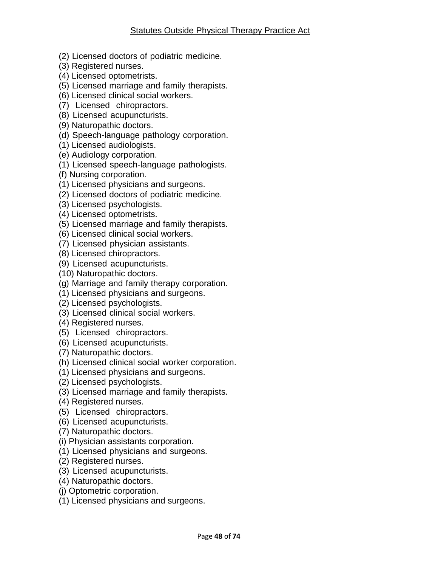- (2) Licensed doctors of podiatric medicine.
- (3) Registered nurses.
- (4) Licensed optometrists.
- (5) Licensed marriage and family therapists.
- (6) Licensed clinical social workers.
- (7) Licensed chiropractors.
- (8) Licensed acupuncturists.
- (9) Naturopathic doctors.
- (d) Speech-language pathology corporation.
- (1) Licensed audiologists.
- (e) Audiology corporation.
- (1) Licensed speech-language pathologists.
- (f) Nursing corporation.
- (1) Licensed physicians and surgeons.
- (2) Licensed doctors of podiatric medicine.
- (3) Licensed psychologists.
- (4) Licensed optometrists.
- (5) Licensed marriage and family therapists.
- (6) Licensed clinical social workers.
- (7) Licensed physician assistants.
- (8) Licensed chiropractors.
- (9) Licensed acupuncturists.
- (10) Naturopathic doctors.
- (g) Marriage and family therapy corporation.
- (1) Licensed physicians and surgeons.
- (2) Licensed psychologists.
- (3) Licensed clinical social workers.
- (4) Registered nurses.
- (5) Licensed chiropractors.
- (6) Licensed acupuncturists.
- (7) Naturopathic doctors.
- (h) Licensed clinical social worker corporation.
- (1) Licensed physicians and surgeons.
- (2) Licensed psychologists.
- (3) Licensed marriage and family therapists.
- (4) Registered nurses.
- (5) Licensed chiropractors.
- (6) Licensed acupuncturists.
- (7) Naturopathic doctors.
- (i) Physician assistants corporation.
- (1) Licensed physicians and surgeons.
- (2) Registered nurses.
- (3) Licensed acupuncturists.
- (4) Naturopathic doctors.
- (j) Optometric corporation.
- (1) Licensed physicians and surgeons.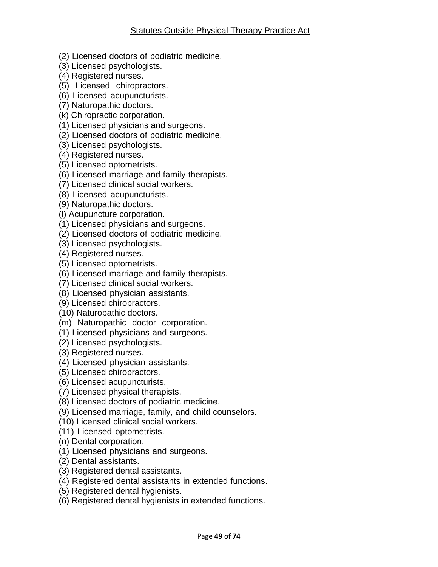- (2) Licensed doctors of podiatric medicine.
- (3) Licensed psychologists.
- (4) Registered nurses.
- (5) Licensed chiropractors.
- (6) Licensed acupuncturists.
- (7) Naturopathic doctors.
- (k) Chiropractic corporation.
- (1) Licensed physicians and surgeons.
- (2) Licensed doctors of podiatric medicine.
- (3) Licensed psychologists.
- (4) Registered nurses.
- (5) Licensed optometrists.
- (6) Licensed marriage and family therapists.
- (7) Licensed clinical social workers.
- (8) Licensed acupuncturists.
- (9) Naturopathic doctors.
- (l) Acupuncture corporation.
- (1) Licensed physicians and surgeons.
- (2) Licensed doctors of podiatric medicine.
- (3) Licensed psychologists.
- (4) Registered nurses.
- (5) Licensed optometrists.
- (6) Licensed marriage and family therapists.
- (7) Licensed clinical social workers.
- (8) Licensed physician assistants.
- (9) Licensed chiropractors.
- (10) Naturopathic doctors.
- (m) Naturopathic doctor corporation.
- (1) Licensed physicians and surgeons.
- (2) Licensed psychologists.
- (3) Registered nurses.
- (4) Licensed physician assistants.
- (5) Licensed chiropractors.
- (6) Licensed acupuncturists.
- (7) Licensed physical therapists.
- (8) Licensed doctors of podiatric medicine.
- (9) Licensed marriage, family, and child counselors.
- (10) Licensed clinical social workers.
- (11) Licensed optometrists.
- (n) Dental corporation.
- (1) Licensed physicians and surgeons.
- (2) Dental assistants.
- (3) Registered dental assistants.
- (4) Registered dental assistants in extended functions.
- (5) Registered dental hygienists.
- (6) Registered dental hygienists in extended functions.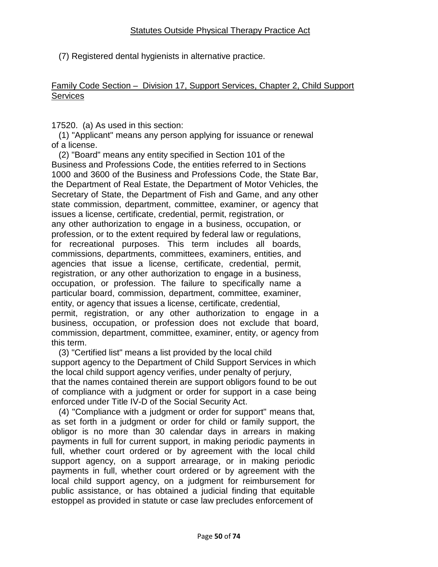(7) Registered dental hygienists in alternative practice.

# Family Code Section – Division 17, Support Services, Chapter 2, Child Support **Services**

17520. (a) As used in this section:

(1) "Applicant" means any person applying for issuance or renewal of a license.

(2) "Board" means any entity specified in Section 101 of the Business and Professions Code, the entities referred to in Sections 1000 and 3600 of the Business and Professions Code, the State Bar, the Department of Real Estate, the Department of Motor Vehicles, the Secretary of State, the Department of Fish and Game, and any other state commission, department, committee, examiner, or agency that issues a license, certificate, credential, permit, registration, or any other authorization to engage in a business, occupation, or profession, or to the extent required by federal law or regulations, for recreational purposes. This term includes all boards, commissions, departments, committees, examiners, entities, and agencies that issue a license, certificate, credential, permit, registration, or any other authorization to engage in a business, occupation, or profession. The failure to specifically name a particular board, commission, department, committee, examiner, entity, or agency that issues a license, certificate, credential, permit, registration, or any other authorization to engage in a business, occupation, or profession does not exclude that board, commission, department, committee, examiner, entity, or agency from this term.

(3) "Certified list" means a list provided by the local child support agency to the Department of Child Support Services in which the local child support agency verifies, under penalty of perjury, that the names contained therein are support obligors found to be out of compliance with a judgment or order for support in a case being enforced under Title IV-D of the Social Security Act.

(4) "Compliance with a judgment or order for support" means that, as set forth in a judgment or order for child or family support, the obligor is no more than 30 calendar days in arrears in making payments in full for current support, in making periodic payments in full, whether court ordered or by agreement with the local child support agency, on a support arrearage, or in making periodic payments in full, whether court ordered or by agreement with the local child support agency, on a judgment for reimbursement for public assistance, or has obtained a judicial finding that equitable estoppel as provided in statute or case law precludes enforcement of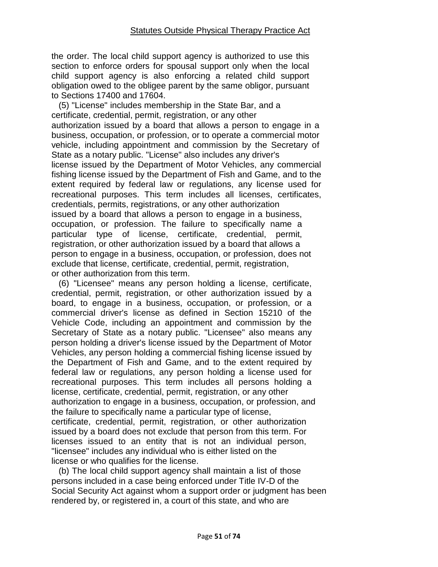the order. The local child support agency is authorized to use this section to enforce orders for spousal support only when the local child support agency is also enforcing a related child support obligation owed to the obligee parent by the same obligor, pursuant to Sections 17400 and 17604.

(5) "License" includes membership in the State Bar, and a certificate, credential, permit, registration, or any other authorization issued by a board that allows a person to engage in a business, occupation, or profession, or to operate a commercial motor vehicle, including appointment and commission by the Secretary of State as a notary public. "License" also includes any driver's license issued by the Department of Motor Vehicles, any commercial fishing license issued by the Department of Fish and Game, and to the extent required by federal law or regulations, any license used for recreational purposes. This term includes all licenses, certificates, credentials, permits, registrations, or any other authorization issued by a board that allows a person to engage in a business, occupation, or profession. The failure to specifically name a particular type of license, certificate, credential, permit, registration, or other authorization issued by a board that allows a person to engage in a business, occupation, or profession, does not exclude that license, certificate, credential, permit, registration, or other authorization from this term.

(6) "Licensee" means any person holding a license, certificate, credential, permit, registration, or other authorization issued by a board, to engage in a business, occupation, or profession, or a commercial driver's license as defined in Section 15210 of the Vehicle Code, including an appointment and commission by the Secretary of State as a notary public. "Licensee" also means any person holding a driver's license issued by the Department of Motor Vehicles, any person holding a commercial fishing license issued by the Department of Fish and Game, and to the extent required by federal law or regulations, any person holding a license used for recreational purposes. This term includes all persons holding a license, certificate, credential, permit, registration, or any other authorization to engage in a business, occupation, or profession, and the failure to specifically name a particular type of license, certificate, credential, permit, registration, or other authorization issued by a board does not exclude that person from this term. For licenses issued to an entity that is not an individual person, "licensee" includes any individual who is either listed on the license or who qualifies for the license.

(b) The local child support agency shall maintain a list of those persons included in a case being enforced under Title IV-D of the Social Security Act against whom a support order or judgment has been rendered by, or registered in, a court of this state, and who are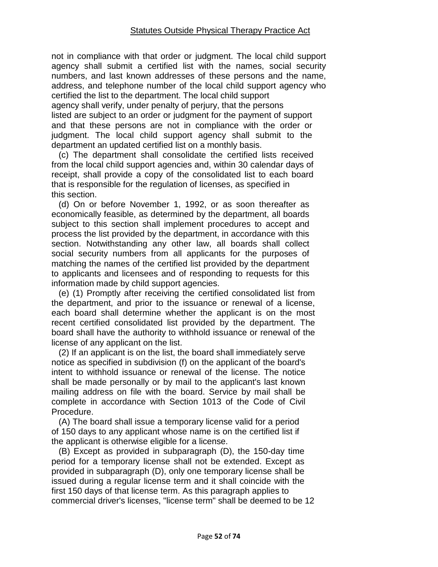not in compliance with that order or judgment. The local child support agency shall submit a certified list with the names, social security numbers, and last known addresses of these persons and the name, address, and telephone number of the local child support agency who certified the list to the department. The local child support

agency shall verify, under penalty of perjury, that the persons listed are subject to an order or judgment for the payment of support and that these persons are not in compliance with the order or judgment. The local child support agency shall submit to the department an updated certified list on a monthly basis.

(c) The department shall consolidate the certified lists received from the local child support agencies and, within 30 calendar days of receipt, shall provide a copy of the consolidated list to each board that is responsible for the regulation of licenses, as specified in this section.

(d) On or before November 1, 1992, or as soon thereafter as economically feasible, as determined by the department, all boards subject to this section shall implement procedures to accept and process the list provided by the department, in accordance with this section. Notwithstanding any other law, all boards shall collect social security numbers from all applicants for the purposes of matching the names of the certified list provided by the department to applicants and licensees and of responding to requests for this information made by child support agencies.

(e) (1) Promptly after receiving the certified consolidated list from the department, and prior to the issuance or renewal of a license, each board shall determine whether the applicant is on the most recent certified consolidated list provided by the department. The board shall have the authority to withhold issuance or renewal of the license of any applicant on the list.

(2) If an applicant is on the list, the board shall immediately serve notice as specified in subdivision (f) on the applicant of the board's intent to withhold issuance or renewal of the license. The notice shall be made personally or by mail to the applicant's last known mailing address on file with the board. Service by mail shall be complete in accordance with Section 1013 of the Code of Civil Procedure.

(A) The board shall issue a temporary license valid for a period of 150 days to any applicant whose name is on the certified list if the applicant is otherwise eligible for a license.

(B) Except as provided in subparagraph (D), the 150-day time period for a temporary license shall not be extended. Except as provided in subparagraph (D), only one temporary license shall be issued during a regular license term and it shall coincide with the first 150 days of that license term. As this paragraph applies to commercial driver's licenses, "license term" shall be deemed to be 12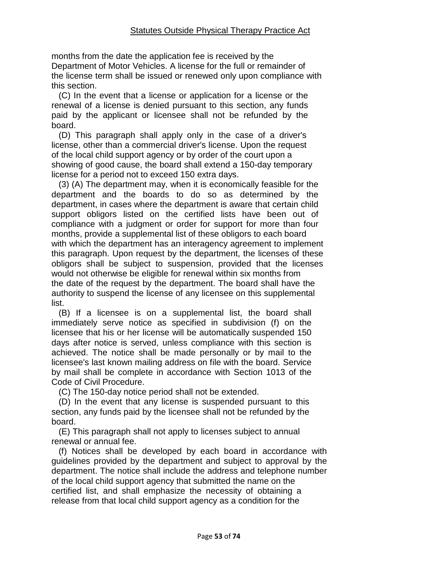months from the date the application fee is received by the Department of Motor Vehicles. A license for the full or remainder of the license term shall be issued or renewed only upon compliance with this section.

(C) In the event that a license or application for a license or the renewal of a license is denied pursuant to this section, any funds paid by the applicant or licensee shall not be refunded by the board.

(D) This paragraph shall apply only in the case of a driver's license, other than a commercial driver's license. Upon the request of the local child support agency or by order of the court upon a showing of good cause, the board shall extend a 150-day temporary license for a period not to exceed 150 extra days.

(3) (A) The department may, when it is economically feasible for the department and the boards to do so as determined by the department, in cases where the department is aware that certain child support obligors listed on the certified lists have been out of compliance with a judgment or order for support for more than four months, provide a supplemental list of these obligors to each board with which the department has an interagency agreement to implement this paragraph. Upon request by the department, the licenses of these obligors shall be subject to suspension, provided that the licenses would not otherwise be eligible for renewal within six months from the date of the request by the department. The board shall have the authority to suspend the license of any licensee on this supplemental list.

(B) If a licensee is on a supplemental list, the board shall immediately serve notice as specified in subdivision (f) on the licensee that his or her license will be automatically suspended 150 days after notice is served, unless compliance with this section is achieved. The notice shall be made personally or by mail to the licensee's last known mailing address on file with the board. Service by mail shall be complete in accordance with Section 1013 of the Code of Civil Procedure.

(C) The 150-day notice period shall not be extended.

(D) In the event that any license is suspended pursuant to this section, any funds paid by the licensee shall not be refunded by the board.

(E) This paragraph shall not apply to licenses subject to annual renewal or annual fee.

(f) Notices shall be developed by each board in accordance with guidelines provided by the department and subject to approval by the department. The notice shall include the address and telephone number of the local child support agency that submitted the name on the certified list, and shall emphasize the necessity of obtaining a release from that local child support agency as a condition for the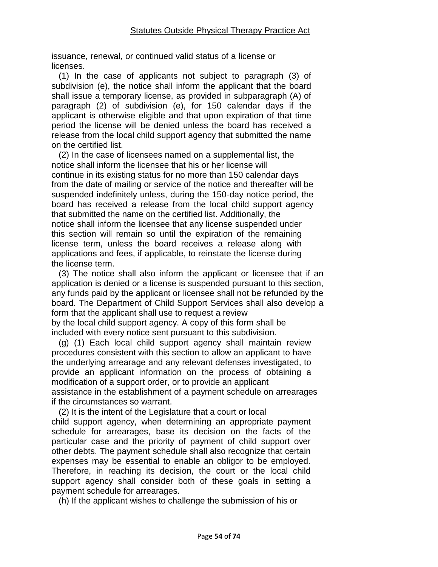issuance, renewal, or continued valid status of a license or licenses.

(1) In the case of applicants not subject to paragraph (3) of subdivision (e), the notice shall inform the applicant that the board shall issue a temporary license, as provided in subparagraph (A) of paragraph (2) of subdivision (e), for 150 calendar days if the applicant is otherwise eligible and that upon expiration of that time period the license will be denied unless the board has received a release from the local child support agency that submitted the name on the certified list.

(2) In the case of licensees named on a supplemental list, the notice shall inform the licensee that his or her license will continue in its existing status for no more than 150 calendar days from the date of mailing or service of the notice and thereafter will be suspended indefinitely unless, during the 150-day notice period, the board has received a release from the local child support agency that submitted the name on the certified list. Additionally, the notice shall inform the licensee that any license suspended under this section will remain so until the expiration of the remaining license term, unless the board receives a release along with applications and fees, if applicable, to reinstate the license during the license term.

(3) The notice shall also inform the applicant or licensee that if an application is denied or a license is suspended pursuant to this section, any funds paid by the applicant or licensee shall not be refunded by the board. The Department of Child Support Services shall also develop a form that the applicant shall use to request a review by the local child support agency. A copy of this form shall be

included with every notice sent pursuant to this subdivision.

(g) (1) Each local child support agency shall maintain review procedures consistent with this section to allow an applicant to have the underlying arrearage and any relevant defenses investigated, to provide an applicant information on the process of obtaining a modification of a support order, or to provide an applicant assistance in the establishment of a payment schedule on arrearages if the circumstances so warrant.

(2) It is the intent of the Legislature that a court or local child support agency, when determining an appropriate payment schedule for arrearages, base its decision on the facts of the particular case and the priority of payment of child support over other debts. The payment schedule shall also recognize that certain expenses may be essential to enable an obligor to be employed. Therefore, in reaching its decision, the court or the local child support agency shall consider both of these goals in setting a payment schedule for arrearages.

(h) If the applicant wishes to challenge the submission of his or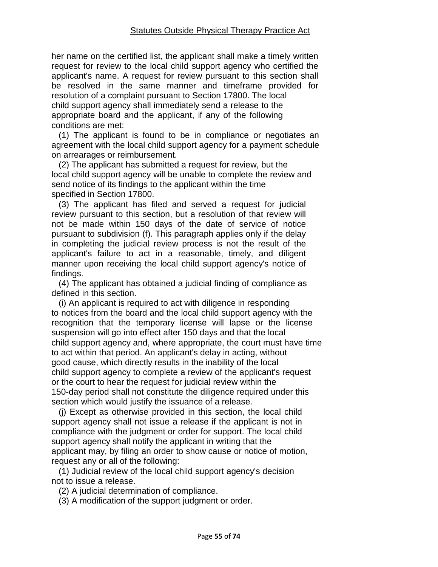her name on the certified list, the applicant shall make a timely written request for review to the local child support agency who certified the applicant's name. A request for review pursuant to this section shall be resolved in the same manner and timeframe provided for resolution of a complaint pursuant to Section 17800. The local child support agency shall immediately send a release to the appropriate board and the applicant, if any of the following conditions are met:

(1) The applicant is found to be in compliance or negotiates an agreement with the local child support agency for a payment schedule on arrearages or reimbursement.

(2) The applicant has submitted a request for review, but the local child support agency will be unable to complete the review and send notice of its findings to the applicant within the time specified in Section 17800.

(3) The applicant has filed and served a request for judicial review pursuant to this section, but a resolution of that review will not be made within 150 days of the date of service of notice pursuant to subdivision (f). This paragraph applies only if the delay in completing the judicial review process is not the result of the applicant's failure to act in a reasonable, timely, and diligent manner upon receiving the local child support agency's notice of findings.

(4) The applicant has obtained a judicial finding of compliance as defined in this section.

(i) An applicant is required to act with diligence in responding to notices from the board and the local child support agency with the recognition that the temporary license will lapse or the license suspension will go into effect after 150 days and that the local child support agency and, where appropriate, the court must have time to act within that period. An applicant's delay in acting, without good cause, which directly results in the inability of the local child support agency to complete a review of the applicant's request or the court to hear the request for judicial review within the 150-day period shall not constitute the diligence required under this section which would justify the issuance of a release.

(j) Except as otherwise provided in this section, the local child support agency shall not issue a release if the applicant is not in compliance with the judgment or order for support. The local child support agency shall notify the applicant in writing that the applicant may, by filing an order to show cause or notice of motion, request any or all of the following:

(1) Judicial review of the local child support agency's decision not to issue a release.

(2) A judicial determination of compliance.

(3) A modification of the support judgment or order.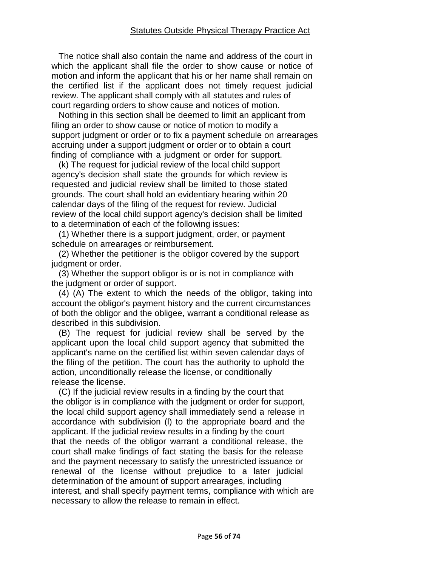The notice shall also contain the name and address of the court in which the applicant shall file the order to show cause or notice of motion and inform the applicant that his or her name shall remain on the certified list if the applicant does not timely request judicial review. The applicant shall comply with all statutes and rules of court regarding orders to show cause and notices of motion.

Nothing in this section shall be deemed to limit an applicant from filing an order to show cause or notice of motion to modify a support judgment or order or to fix a payment schedule on arrearages accruing under a support judgment or order or to obtain a court finding of compliance with a judgment or order for support.

(k) The request for judicial review of the local child support agency's decision shall state the grounds for which review is requested and judicial review shall be limited to those stated grounds. The court shall hold an evidentiary hearing within 20 calendar days of the filing of the request for review. Judicial review of the local child support agency's decision shall be limited to a determination of each of the following issues:

(1) Whether there is a support judgment, order, or payment schedule on arrearages or reimbursement.

(2) Whether the petitioner is the obligor covered by the support judgment or order.

(3) Whether the support obligor is or is not in compliance with the judgment or order of support.

(4) (A) The extent to which the needs of the obligor, taking into account the obligor's payment history and the current circumstances of both the obligor and the obligee, warrant a conditional release as described in this subdivision.

(B) The request for judicial review shall be served by the applicant upon the local child support agency that submitted the applicant's name on the certified list within seven calendar days of the filing of the petition. The court has the authority to uphold the action, unconditionally release the license, or conditionally release the license.

(C) If the judicial review results in a finding by the court that the obligor is in compliance with the judgment or order for support, the local child support agency shall immediately send a release in accordance with subdivision (l) to the appropriate board and the applicant. If the judicial review results in a finding by the court that the needs of the obligor warrant a conditional release, the court shall make findings of fact stating the basis for the release and the payment necessary to satisfy the unrestricted issuance or renewal of the license without prejudice to a later judicial determination of the amount of support arrearages, including interest, and shall specify payment terms, compliance with which are necessary to allow the release to remain in effect.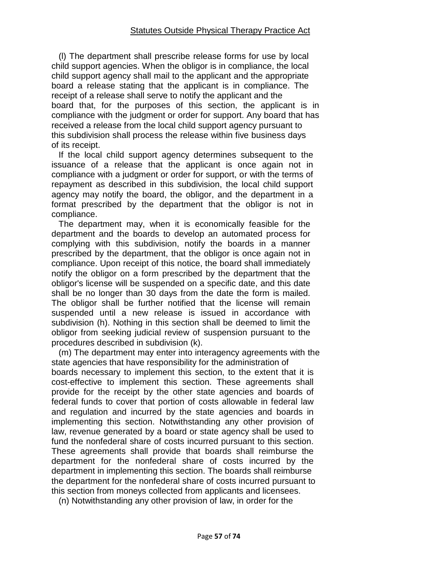(l) The department shall prescribe release forms for use by local child support agencies. When the obligor is in compliance, the local child support agency shall mail to the applicant and the appropriate board a release stating that the applicant is in compliance. The receipt of a release shall serve to notify the applicant and the board that, for the purposes of this section, the applicant is in compliance with the judgment or order for support. Any board that has received a release from the local child support agency pursuant to this subdivision shall process the release within five business days of its receipt.

If the local child support agency determines subsequent to the issuance of a release that the applicant is once again not in compliance with a judgment or order for support, or with the terms of repayment as described in this subdivision, the local child support agency may notify the board, the obligor, and the department in a format prescribed by the department that the obligor is not in compliance.

The department may, when it is economically feasible for the department and the boards to develop an automated process for complying with this subdivision, notify the boards in a manner prescribed by the department, that the obligor is once again not in compliance. Upon receipt of this notice, the board shall immediately notify the obligor on a form prescribed by the department that the obligor's license will be suspended on a specific date, and this date shall be no longer than 30 days from the date the form is mailed. The obligor shall be further notified that the license will remain suspended until a new release is issued in accordance with subdivision (h). Nothing in this section shall be deemed to limit the obligor from seeking judicial review of suspension pursuant to the procedures described in subdivision (k).

(m) The department may enter into interagency agreements with the state agencies that have responsibility for the administration of boards necessary to implement this section, to the extent that it is cost-effective to implement this section. These agreements shall provide for the receipt by the other state agencies and boards of federal funds to cover that portion of costs allowable in federal law and regulation and incurred by the state agencies and boards in implementing this section. Notwithstanding any other provision of law, revenue generated by a board or state agency shall be used to fund the nonfederal share of costs incurred pursuant to this section. These agreements shall provide that boards shall reimburse the department for the nonfederal share of costs incurred by the department in implementing this section. The boards shall reimburse the department for the nonfederal share of costs incurred pursuant to this section from moneys collected from applicants and licensees.

(n) Notwithstanding any other provision of law, in order for the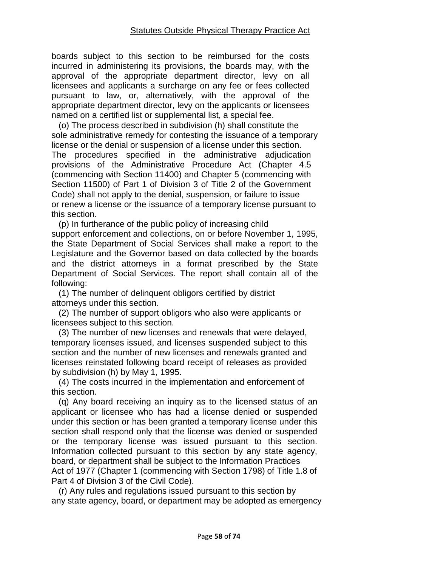boards subject to this section to be reimbursed for the costs incurred in administering its provisions, the boards may, with the approval of the appropriate department director, levy on all licensees and applicants a surcharge on any fee or fees collected pursuant to law, or, alternatively, with the approval of the appropriate department director, levy on the applicants or licensees named on a certified list or supplemental list, a special fee.

(o) The process described in subdivision (h) shall constitute the sole administrative remedy for contesting the issuance of a temporary license or the denial or suspension of a license under this section. The procedures specified in the administrative adjudication provisions of the Administrative Procedure Act (Chapter 4.5 (commencing with Section 11400) and Chapter 5 (commencing with Section 11500) of Part 1 of Division 3 of Title 2 of the Government Code) shall not apply to the denial, suspension, or failure to issue or renew a license or the issuance of a temporary license pursuant to this section.

(p) In furtherance of the public policy of increasing child support enforcement and collections, on or before November 1, 1995, the State Department of Social Services shall make a report to the Legislature and the Governor based on data collected by the boards and the district attorneys in a format prescribed by the State Department of Social Services. The report shall contain all of the following:

(1) The number of delinquent obligors certified by district attorneys under this section.

(2) The number of support obligors who also were applicants or licensees subject to this section.

(3) The number of new licenses and renewals that were delayed, temporary licenses issued, and licenses suspended subject to this section and the number of new licenses and renewals granted and licenses reinstated following board receipt of releases as provided by subdivision (h) by May 1, 1995.

(4) The costs incurred in the implementation and enforcement of this section.

(q) Any board receiving an inquiry as to the licensed status of an applicant or licensee who has had a license denied or suspended under this section or has been granted a temporary license under this section shall respond only that the license was denied or suspended or the temporary license was issued pursuant to this section. Information collected pursuant to this section by any state agency, board, or department shall be subject to the Information Practices Act of 1977 (Chapter 1 (commencing with Section 1798) of Title 1.8 of Part 4 of Division 3 of the Civil Code).

(r) Any rules and regulations issued pursuant to this section by any state agency, board, or department may be adopted as emergency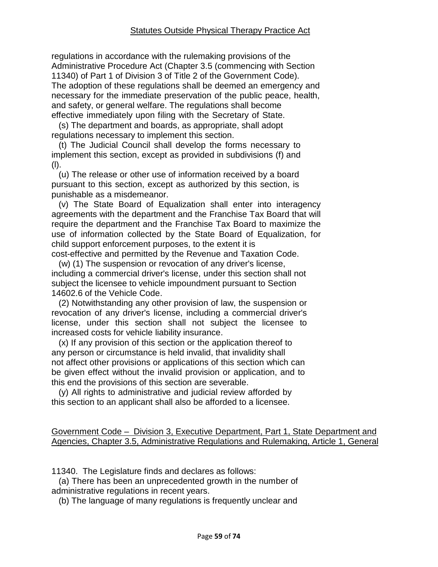regulations in accordance with the rulemaking provisions of the Administrative Procedure Act (Chapter 3.5 (commencing with Section 11340) of Part 1 of Division 3 of Title 2 of the Government Code). The adoption of these regulations shall be deemed an emergency and necessary for the immediate preservation of the public peace, health, and safety, or general welfare. The regulations shall become effective immediately upon filing with the Secretary of State.

(s) The department and boards, as appropriate, shall adopt regulations necessary to implement this section.

(t) The Judicial Council shall develop the forms necessary to implement this section, except as provided in subdivisions (f) and (l).

(u) The release or other use of information received by a board pursuant to this section, except as authorized by this section, is punishable as a misdemeanor.

(v) The State Board of Equalization shall enter into interagency agreements with the department and the Franchise Tax Board that will require the department and the Franchise Tax Board to maximize the use of information collected by the State Board of Equalization, for child support enforcement purposes, to the extent it is cost-effective and permitted by the Revenue and Taxation Code.

(w) (1) The suspension or revocation of any driver's license, including a commercial driver's license, under this section shall not subject the licensee to vehicle impoundment pursuant to Section 14602.6 of the Vehicle Code.

(2) Notwithstanding any other provision of law, the suspension or revocation of any driver's license, including a commercial driver's license, under this section shall not subject the licensee to increased costs for vehicle liability insurance.

(x) If any provision of this section or the application thereof to any person or circumstance is held invalid, that invalidity shall not affect other provisions or applications of this section which can be given effect without the invalid provision or application, and to this end the provisions of this section are severable.

(y) All rights to administrative and judicial review afforded by this section to an applicant shall also be afforded to a licensee.

Government Code – Division 3, Executive Department, Part 1, State Department and Agencies, Chapter 3.5, Administrative Regulations and Rulemaking, Article 1, General

11340. The Legislature finds and declares as follows:

(a) There has been an unprecedented growth in the number of administrative regulations in recent years.

(b) The language of many regulations is frequently unclear and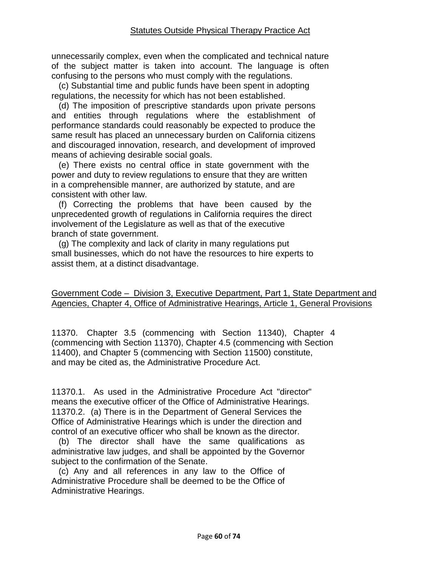unnecessarily complex, even when the complicated and technical nature of the subject matter is taken into account. The language is often confusing to the persons who must comply with the regulations.

(c) Substantial time and public funds have been spent in adopting regulations, the necessity for which has not been established.

(d) The imposition of prescriptive standards upon private persons and entities through regulations where the establishment of performance standards could reasonably be expected to produce the same result has placed an unnecessary burden on California citizens and discouraged innovation, research, and development of improved means of achieving desirable social goals.

(e) There exists no central office in state government with the power and duty to review regulations to ensure that they are written in a comprehensible manner, are authorized by statute, and are consistent with other law.

(f) Correcting the problems that have been caused by the unprecedented growth of regulations in California requires the direct involvement of the Legislature as well as that of the executive branch of state government.

(g) The complexity and lack of clarity in many regulations put small businesses, which do not have the resources to hire experts to assist them, at a distinct disadvantage.

Government Code – Division 3, Executive Department, Part 1, State Department and Agencies, Chapter 4, Office of Administrative Hearings, Article 1, General Provisions

11370. Chapter 3.5 (commencing with Section 11340), Chapter 4 (commencing with Section 11370), Chapter 4.5 (commencing with Section 11400), and Chapter 5 (commencing with Section 11500) constitute, and may be cited as, the Administrative Procedure Act.

11370.1. As used in the Administrative Procedure Act "director" means the executive officer of the Office of Administrative Hearings. 11370.2. (a) There is in the Department of General Services the Office of Administrative Hearings which is under the direction and control of an executive officer who shall be known as the director.

(b) The director shall have the same qualifications as administrative law judges, and shall be appointed by the Governor subject to the confirmation of the Senate.

(c) Any and all references in any law to the Office of Administrative Procedure shall be deemed to be the Office of Administrative Hearings.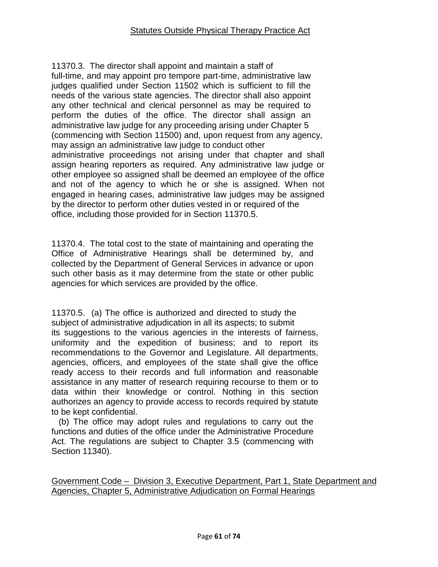11370.3. The director shall appoint and maintain a staff of full-time, and may appoint pro tempore part-time, administrative law judges qualified under Section 11502 which is sufficient to fill the needs of the various state agencies. The director shall also appoint any other technical and clerical personnel as may be required to perform the duties of the office. The director shall assign an administrative law judge for any proceeding arising under Chapter 5 (commencing with Section 11500) and, upon request from any agency, may assign an administrative law judge to conduct other administrative proceedings not arising under that chapter and shall assign hearing reporters as required. Any administrative law judge or other employee so assigned shall be deemed an employee of the office and not of the agency to which he or she is assigned. When not engaged in hearing cases, administrative law judges may be assigned by the director to perform other duties vested in or required of the office, including those provided for in Section 11370.5.

11370.4. The total cost to the state of maintaining and operating the Office of Administrative Hearings shall be determined by, and collected by the Department of General Services in advance or upon such other basis as it may determine from the state or other public agencies for which services are provided by the office.

11370.5. (a) The office is authorized and directed to study the subject of administrative adjudication in all its aspects; to submit its suggestions to the various agencies in the interests of fairness, uniformity and the expedition of business; and to report its recommendations to the Governor and Legislature. All departments, agencies, officers, and employees of the state shall give the office ready access to their records and full information and reasonable assistance in any matter of research requiring recourse to them or to data within their knowledge or control. Nothing in this section authorizes an agency to provide access to records required by statute to be kept confidential.

(b) The office may adopt rules and regulations to carry out the functions and duties of the office under the Administrative Procedure Act. The regulations are subject to Chapter 3.5 (commencing with Section 11340).

Government Code – Division 3, Executive Department, Part 1, State Department and Agencies, Chapter 5, Administrative Adjudication on Formal Hearings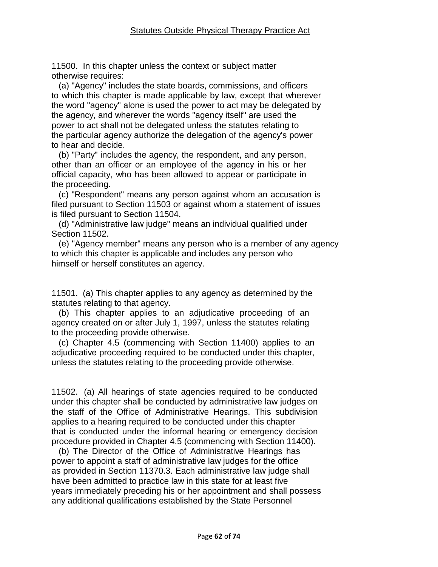11500. In this chapter unless the context or subject matter otherwise requires:

(a) "Agency" includes the state boards, commissions, and officers to which this chapter is made applicable by law, except that wherever the word "agency" alone is used the power to act may be delegated by the agency, and wherever the words "agency itself" are used the power to act shall not be delegated unless the statutes relating to the particular agency authorize the delegation of the agency's power to hear and decide.

(b) "Party" includes the agency, the respondent, and any person, other than an officer or an employee of the agency in his or her official capacity, who has been allowed to appear or participate in the proceeding.

(c) "Respondent" means any person against whom an accusation is filed pursuant to Section 11503 or against whom a statement of issues is filed pursuant to Section 11504.

(d) "Administrative law judge" means an individual qualified under Section 11502.

(e) "Agency member" means any person who is a member of any agency to which this chapter is applicable and includes any person who himself or herself constitutes an agency.

11501. (a) This chapter applies to any agency as determined by the statutes relating to that agency.

(b) This chapter applies to an adjudicative proceeding of an agency created on or after July 1, 1997, unless the statutes relating to the proceeding provide otherwise.

(c) Chapter 4.5 (commencing with Section 11400) applies to an adjudicative proceeding required to be conducted under this chapter, unless the statutes relating to the proceeding provide otherwise.

11502. (a) All hearings of state agencies required to be conducted under this chapter shall be conducted by administrative law judges on the staff of the Office of Administrative Hearings. This subdivision applies to a hearing required to be conducted under this chapter that is conducted under the informal hearing or emergency decision procedure provided in Chapter 4.5 (commencing with Section 11400).

(b) The Director of the Office of Administrative Hearings has power to appoint a staff of administrative law judges for the office as provided in Section 11370.3. Each administrative law judge shall have been admitted to practice law in this state for at least five years immediately preceding his or her appointment and shall possess any additional qualifications established by the State Personnel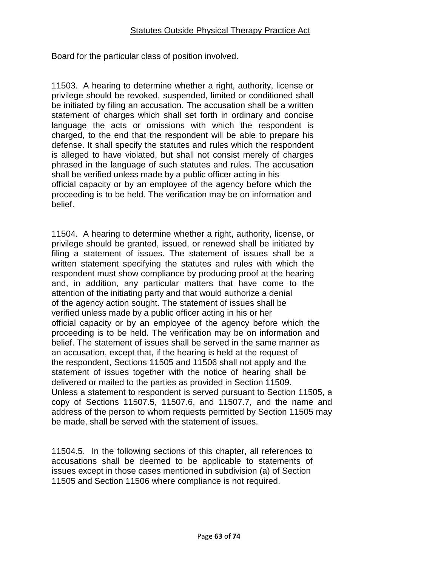Board for the particular class of position involved.

11503. A hearing to determine whether a right, authority, license or privilege should be revoked, suspended, limited or conditioned shall be initiated by filing an accusation. The accusation shall be a written statement of charges which shall set forth in ordinary and concise language the acts or omissions with which the respondent is charged, to the end that the respondent will be able to prepare his defense. It shall specify the statutes and rules which the respondent is alleged to have violated, but shall not consist merely of charges phrased in the language of such statutes and rules. The accusation shall be verified unless made by a public officer acting in his official capacity or by an employee of the agency before which the proceeding is to be held. The verification may be on information and belief.

11504. A hearing to determine whether a right, authority, license, or privilege should be granted, issued, or renewed shall be initiated by filing a statement of issues. The statement of issues shall be a written statement specifying the statutes and rules with which the respondent must show compliance by producing proof at the hearing and, in addition, any particular matters that have come to the attention of the initiating party and that would authorize a denial of the agency action sought. The statement of issues shall be verified unless made by a public officer acting in his or her official capacity or by an employee of the agency before which the proceeding is to be held. The verification may be on information and belief. The statement of issues shall be served in the same manner as an accusation, except that, if the hearing is held at the request of the respondent, Sections 11505 and 11506 shall not apply and the statement of issues together with the notice of hearing shall be delivered or mailed to the parties as provided in Section 11509. Unless a statement to respondent is served pursuant to Section 11505, a copy of Sections 11507.5, 11507.6, and 11507.7, and the name and address of the person to whom requests permitted by Section 11505 may be made, shall be served with the statement of issues.

11504.5. In the following sections of this chapter, all references to accusations shall be deemed to be applicable to statements of issues except in those cases mentioned in subdivision (a) of Section 11505 and Section 11506 where compliance is not required.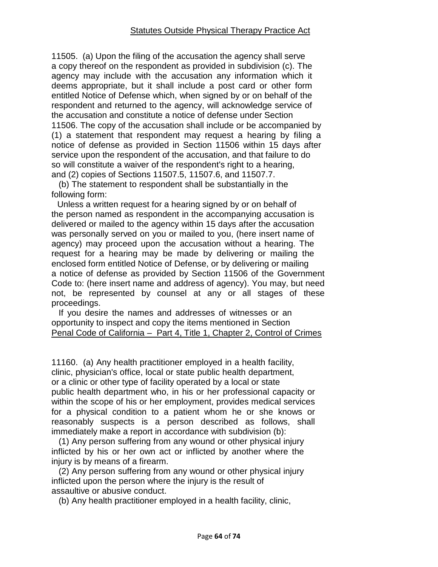11505. (a) Upon the filing of the accusation the agency shall serve a copy thereof on the respondent as provided in subdivision (c). The agency may include with the accusation any information which it deems appropriate, but it shall include a post card or other form entitled Notice of Defense which, when signed by or on behalf of the respondent and returned to the agency, will acknowledge service of the accusation and constitute a notice of defense under Section 11506. The copy of the accusation shall include or be accompanied by (1) a statement that respondent may request a hearing by filing a notice of defense as provided in Section 11506 within 15 days after service upon the respondent of the accusation, and that failure to do so will constitute a waiver of the respondent's right to a hearing, and (2) copies of Sections 11507.5, 11507.6, and 11507.7.

(b) The statement to respondent shall be substantially in the following form:

Unless a written request for a hearing signed by or on behalf of the person named as respondent in the accompanying accusation is delivered or mailed to the agency within 15 days after the accusation was personally served on you or mailed to you, (here insert name of agency) may proceed upon the accusation without a hearing. The request for a hearing may be made by delivering or mailing the enclosed form entitled Notice of Defense, or by delivering or mailing a notice of defense as provided by Section 11506 of the Government Code to: (here insert name and address of agency). You may, but need not, be represented by counsel at any or all stages of these proceedings.

If you desire the names and addresses of witnesses or an opportunity to inspect and copy the items mentioned in Section Penal Code of California – Part 4, Title 1, Chapter 2, Control of Crimes

11160. (a) Any health practitioner employed in a health facility, clinic, physician's office, local or state public health department, or a clinic or other type of facility operated by a local or state public health department who, in his or her professional capacity or within the scope of his or her employment, provides medical services for a physical condition to a patient whom he or she knows or reasonably suspects is a person described as follows, shall immediately make a report in accordance with subdivision (b):

(1) Any person suffering from any wound or other physical injury inflicted by his or her own act or inflicted by another where the injury is by means of a firearm.

(2) Any person suffering from any wound or other physical injury inflicted upon the person where the injury is the result of assaultive or abusive conduct.

(b) Any health practitioner employed in a health facility, clinic,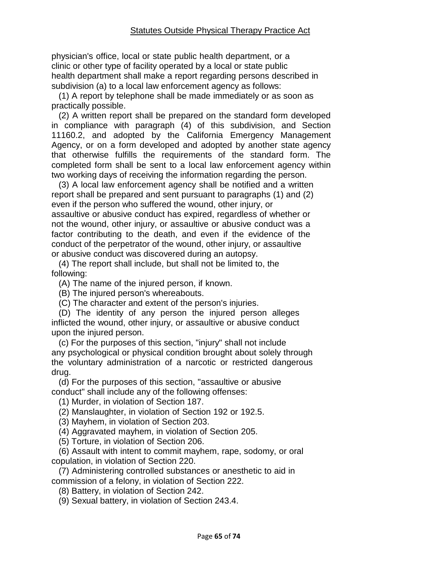physician's office, local or state public health department, or a clinic or other type of facility operated by a local or state public health department shall make a report regarding persons described in subdivision (a) to a local law enforcement agency as follows:

(1) A report by telephone shall be made immediately or as soon as practically possible.

(2) A written report shall be prepared on the standard form developed in compliance with paragraph (4) of this subdivision, and Section 11160.2, and adopted by the California Emergency Management Agency, or on a form developed and adopted by another state agency that otherwise fulfills the requirements of the standard form. The completed form shall be sent to a local law enforcement agency within two working days of receiving the information regarding the person.

(3) A local law enforcement agency shall be notified and a written report shall be prepared and sent pursuant to paragraphs (1) and (2) even if the person who suffered the wound, other injury, or assaultive or abusive conduct has expired, regardless of whether or not the wound, other injury, or assaultive or abusive conduct was a factor contributing to the death, and even if the evidence of the conduct of the perpetrator of the wound, other injury, or assaultive or abusive conduct was discovered during an autopsy.

(4) The report shall include, but shall not be limited to, the following:

(A) The name of the injured person, if known.

(B) The injured person's whereabouts.

(C) The character and extent of the person's injuries.

(D) The identity of any person the injured person alleges inflicted the wound, other injury, or assaultive or abusive conduct upon the injured person.

(c) For the purposes of this section, "injury" shall not include any psychological or physical condition brought about solely through the voluntary administration of a narcotic or restricted dangerous drug.

(d) For the purposes of this section, "assaultive or abusive conduct" shall include any of the following offenses:

(1) Murder, in violation of Section 187.

(2) Manslaughter, in violation of Section 192 or 192.5.

(3) Mayhem, in violation of Section 203.

(4) Aggravated mayhem, in violation of Section 205.

(5) Torture, in violation of Section 206.

(6) Assault with intent to commit mayhem, rape, sodomy, or oral copulation, in violation of Section 220.

(7) Administering controlled substances or anesthetic to aid in commission of a felony, in violation of Section 222.

(8) Battery, in violation of Section 242.

(9) Sexual battery, in violation of Section 243.4.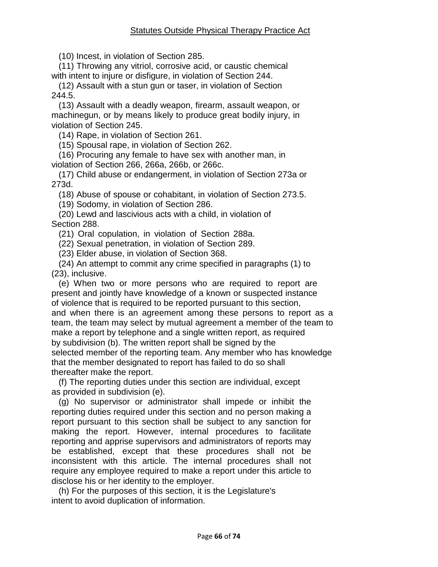(10) Incest, in violation of Section 285.

(11) Throwing any vitriol, corrosive acid, or caustic chemical with intent to injure or disfigure, in violation of Section 244.

(12) Assault with a stun gun or taser, in violation of Section 244.5.

(13) Assault with a deadly weapon, firearm, assault weapon, or machinegun, or by means likely to produce great bodily injury, in violation of Section 245.

(14) Rape, in violation of Section 261.

(15) Spousal rape, in violation of Section 262.

(16) Procuring any female to have sex with another man, in violation of Section 266, 266a, 266b, or 266c.

(17) Child abuse or endangerment, in violation of Section 273a or 273d.

(18) Abuse of spouse or cohabitant, in violation of Section 273.5.

(19) Sodomy, in violation of Section 286.

(20) Lewd and lascivious acts with a child, in violation of Section 288.

(21) Oral copulation, in violation of Section 288a.

(22) Sexual penetration, in violation of Section 289.

(23) Elder abuse, in violation of Section 368.

(24) An attempt to commit any crime specified in paragraphs (1) to (23), inclusive.

(e) When two or more persons who are required to report are present and jointly have knowledge of a known or suspected instance of violence that is required to be reported pursuant to this section, and when there is an agreement among these persons to report as a team, the team may select by mutual agreement a member of the team to make a report by telephone and a single written report, as required by subdivision (b). The written report shall be signed by the selected member of the reporting team. Any member who has knowledge that the member designated to report has failed to do so shall thereafter make the report.

(f) The reporting duties under this section are individual, except as provided in subdivision (e).

(g) No supervisor or administrator shall impede or inhibit the reporting duties required under this section and no person making a report pursuant to this section shall be subject to any sanction for making the report. However, internal procedures to facilitate reporting and apprise supervisors and administrators of reports may be established, except that these procedures shall not be inconsistent with this article. The internal procedures shall not require any employee required to make a report under this article to disclose his or her identity to the employer.

(h) For the purposes of this section, it is the Legislature's intent to avoid duplication of information.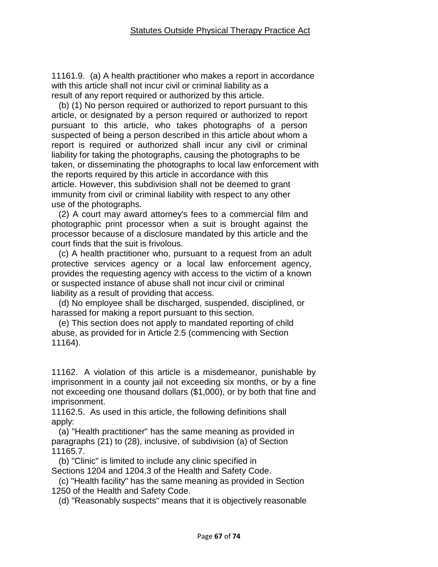11161.9. (a) A health practitioner who makes a report in accordance with this article shall not incur civil or criminal liability as a result of any report required or authorized by this article.

(b) (1) No person required or authorized to report pursuant to this article, or designated by a person required or authorized to report pursuant to this article, who takes photographs of a person suspected of being a person described in this article about whom a report is required or authorized shall incur any civil or criminal liability for taking the photographs, causing the photographs to be taken, or disseminating the photographs to local law enforcement with the reports required by this article in accordance with this article. However, this subdivision shall not be deemed to grant immunity from civil or criminal liability with respect to any other use of the photographs.

(2) A court may award attorney's fees to a commercial film and photographic print processor when a suit is brought against the processor because of a disclosure mandated by this article and the court finds that the suit is frivolous.

(c) A health practitioner who, pursuant to a request from an adult protective services agency or a local law enforcement agency, provides the requesting agency with access to the victim of a known or suspected instance of abuse shall not incur civil or criminal liability as a result of providing that access.

(d) No employee shall be discharged, suspended, disciplined, or harassed for making a report pursuant to this section.

(e) This section does not apply to mandated reporting of child abuse, as provided for in Article 2.5 (commencing with Section 11164).

11162. A violation of this article is a misdemeanor, punishable by imprisonment in a county jail not exceeding six months, or by a fine not exceeding one thousand dollars (\$1,000), or by both that fine and imprisonment.

11162.5. As used in this article, the following definitions shall apply:

(a) "Health practitioner" has the same meaning as provided in paragraphs (21) to (28), inclusive, of subdivision (a) of Section 11165.7.

(b) "Clinic" is limited to include any clinic specified in Sections 1204 and 1204.3 of the Health and Safety Code.

(c) "Health facility" has the same meaning as provided in Section 1250 of the Health and Safety Code.

(d) "Reasonably suspects" means that it is objectively reasonable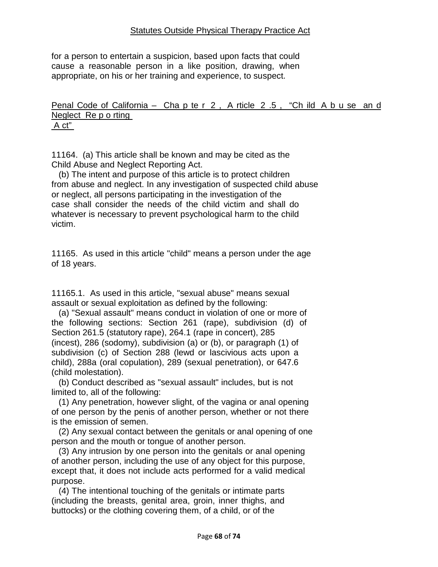for a person to entertain a suspicion, based upon facts that could cause a reasonable person in a like position, drawing, when appropriate, on his or her training and experience, to suspect.

Penal Code of California – Cha p te r 2 , A rticle 2 .5 , "Ch ild A b u se an d Neglect Re p o rting A ct"

11164. (a) This article shall be known and may be cited as the Child Abuse and Neglect Reporting Act.

(b) The intent and purpose of this article is to protect children from abuse and neglect. In any investigation of suspected child abuse or neglect, all persons participating in the investigation of the case shall consider the needs of the child victim and shall do whatever is necessary to prevent psychological harm to the child victim.

11165. As used in this article "child" means a person under the age of 18 years.

11165.1. As used in this article, "sexual abuse" means sexual assault or sexual exploitation as defined by the following:

(a) "Sexual assault" means conduct in violation of one or more of the following sections: Section 261 (rape), subdivision (d) of Section 261.5 (statutory rape), 264.1 (rape in concert), 285 (incest), 286 (sodomy), subdivision (a) or (b), or paragraph (1) of subdivision (c) of Section 288 (lewd or lascivious acts upon a child), 288a (oral copulation), 289 (sexual penetration), or 647.6 (child molestation).

(b) Conduct described as "sexual assault" includes, but is not limited to, all of the following:

(1) Any penetration, however slight, of the vagina or anal opening of one person by the penis of another person, whether or not there is the emission of semen.

(2) Any sexual contact between the genitals or anal opening of one person and the mouth or tongue of another person.

(3) Any intrusion by one person into the genitals or anal opening of another person, including the use of any object for this purpose, except that, it does not include acts performed for a valid medical purpose.

(4) The intentional touching of the genitals or intimate parts (including the breasts, genital area, groin, inner thighs, and buttocks) or the clothing covering them, of a child, or of the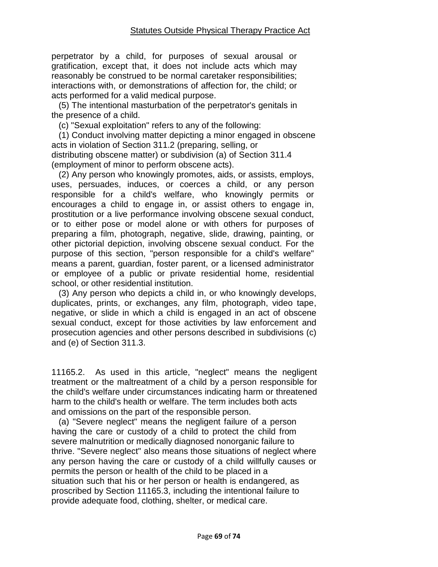perpetrator by a child, for purposes of sexual arousal or gratification, except that, it does not include acts which may reasonably be construed to be normal caretaker responsibilities; interactions with, or demonstrations of affection for, the child; or acts performed for a valid medical purpose.

(5) The intentional masturbation of the perpetrator's genitals in the presence of a child.

(c) "Sexual exploitation" refers to any of the following:

(1) Conduct involving matter depicting a minor engaged in obscene acts in violation of Section 311.2 (preparing, selling, or distributing obscene matter) or subdivision (a) of Section 311.4 (employment of minor to perform obscene acts).

(2) Any person who knowingly promotes, aids, or assists, employs, uses, persuades, induces, or coerces a child, or any person responsible for a child's welfare, who knowingly permits or encourages a child to engage in, or assist others to engage in, prostitution or a live performance involving obscene sexual conduct, or to either pose or model alone or with others for purposes of preparing a film, photograph, negative, slide, drawing, painting, or other pictorial depiction, involving obscene sexual conduct. For the purpose of this section, "person responsible for a child's welfare" means a parent, guardian, foster parent, or a licensed administrator or employee of a public or private residential home, residential school, or other residential institution.

(3) Any person who depicts a child in, or who knowingly develops, duplicates, prints, or exchanges, any film, photograph, video tape, negative, or slide in which a child is engaged in an act of obscene sexual conduct, except for those activities by law enforcement and prosecution agencies and other persons described in subdivisions (c) and (e) of Section 311.3.

11165.2. As used in this article, "neglect" means the negligent treatment or the maltreatment of a child by a person responsible for the child's welfare under circumstances indicating harm or threatened harm to the child's health or welfare. The term includes both acts and omissions on the part of the responsible person.

(a) "Severe neglect" means the negligent failure of a person having the care or custody of a child to protect the child from severe malnutrition or medically diagnosed nonorganic failure to thrive. "Severe neglect" also means those situations of neglect where any person having the care or custody of a child willfully causes or permits the person or health of the child to be placed in a situation such that his or her person or health is endangered, as proscribed by Section 11165.3, including the intentional failure to provide adequate food, clothing, shelter, or medical care.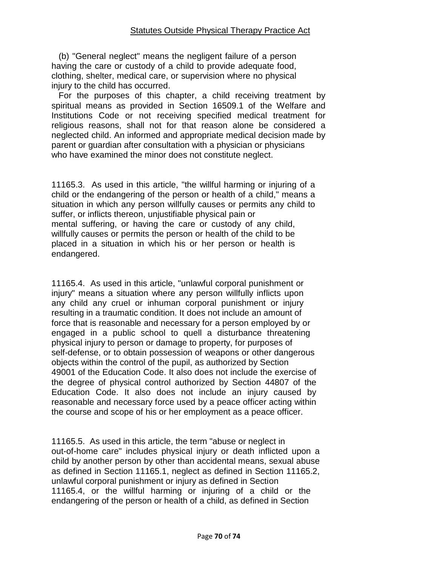(b) "General neglect" means the negligent failure of a person having the care or custody of a child to provide adequate food, clothing, shelter, medical care, or supervision where no physical injury to the child has occurred.

For the purposes of this chapter, a child receiving treatment by spiritual means as provided in Section 16509.1 of the Welfare and Institutions Code or not receiving specified medical treatment for religious reasons, shall not for that reason alone be considered a neglected child. An informed and appropriate medical decision made by parent or guardian after consultation with a physician or physicians who have examined the minor does not constitute neglect.

11165.3. As used in this article, "the willful harming or injuring of a child or the endangering of the person or health of a child," means a situation in which any person willfully causes or permits any child to suffer, or inflicts thereon, unjustifiable physical pain or mental suffering, or having the care or custody of any child, willfully causes or permits the person or health of the child to be placed in a situation in which his or her person or health is endangered.

11165.4. As used in this article, "unlawful corporal punishment or injury" means a situation where any person willfully inflicts upon any child any cruel or inhuman corporal punishment or injury resulting in a traumatic condition. It does not include an amount of force that is reasonable and necessary for a person employed by or engaged in a public school to quell a disturbance threatening physical injury to person or damage to property, for purposes of self-defense, or to obtain possession of weapons or other dangerous objects within the control of the pupil, as authorized by Section 49001 of the Education Code. It also does not include the exercise of the degree of physical control authorized by Section 44807 of the Education Code. It also does not include an injury caused by reasonable and necessary force used by a peace officer acting within the course and scope of his or her employment as a peace officer.

11165.5. As used in this article, the term "abuse or neglect in out-of-home care" includes physical injury or death inflicted upon a child by another person by other than accidental means, sexual abuse as defined in Section 11165.1, neglect as defined in Section 11165.2, unlawful corporal punishment or injury as defined in Section 11165.4, or the willful harming or injuring of a child or the endangering of the person or health of a child, as defined in Section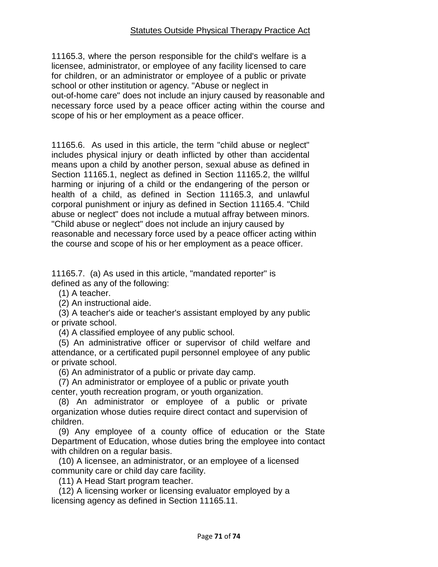11165.3, where the person responsible for the child's welfare is a licensee, administrator, or employee of any facility licensed to care for children, or an administrator or employee of a public or private school or other institution or agency. "Abuse or neglect in out-of-home care" does not include an injury caused by reasonable and necessary force used by a peace officer acting within the course and scope of his or her employment as a peace officer.

11165.6. As used in this article, the term "child abuse or neglect" includes physical injury or death inflicted by other than accidental means upon a child by another person, sexual abuse as defined in Section 11165.1, neglect as defined in Section 11165.2, the willful harming or injuring of a child or the endangering of the person or health of a child, as defined in Section 11165.3, and unlawful corporal punishment or injury as defined in Section 11165.4. "Child abuse or neglect" does not include a mutual affray between minors. "Child abuse or neglect" does not include an injury caused by reasonable and necessary force used by a peace officer acting within the course and scope of his or her employment as a peace officer.

11165.7. (a) As used in this article, "mandated reporter" is defined as any of the following:

(1) A teacher.

(2) An instructional aide.

(3) A teacher's aide or teacher's assistant employed by any public or private school.

(4) A classified employee of any public school.

(5) An administrative officer or supervisor of child welfare and attendance, or a certificated pupil personnel employee of any public or private school.

(6) An administrator of a public or private day camp.

(7) An administrator or employee of a public or private youth center, youth recreation program, or youth organization.

(8) An administrator or employee of a public or private organization whose duties require direct contact and supervision of children.

(9) Any employee of a county office of education or the State Department of Education, whose duties bring the employee into contact with children on a regular basis.

(10) A licensee, an administrator, or an employee of a licensed community care or child day care facility.

(11) A Head Start program teacher.

(12) A licensing worker or licensing evaluator employed by a licensing agency as defined in Section 11165.11.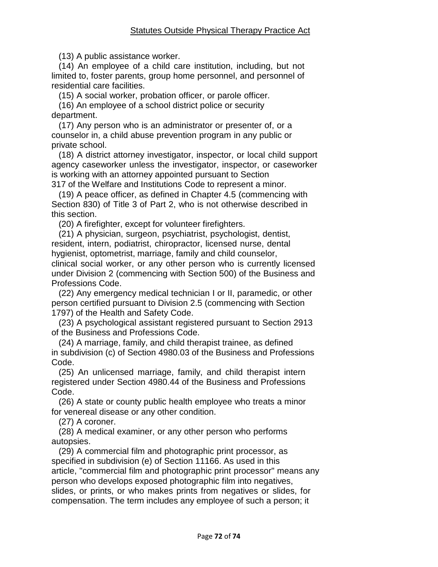(13) A public assistance worker.

(14) An employee of a child care institution, including, but not limited to, foster parents, group home personnel, and personnel of residential care facilities.

(15) A social worker, probation officer, or parole officer.

(16) An employee of a school district police or security department.

(17) Any person who is an administrator or presenter of, or a counselor in, a child abuse prevention program in any public or private school.

(18) A district attorney investigator, inspector, or local child support agency caseworker unless the investigator, inspector, or caseworker is working with an attorney appointed pursuant to Section

317 of the Welfare and Institutions Code to represent a minor.

(19) A peace officer, as defined in Chapter 4.5 (commencing with Section 830) of Title 3 of Part 2, who is not otherwise described in this section.

(20) A firefighter, except for volunteer firefighters.

(21) A physician, surgeon, psychiatrist, psychologist, dentist, resident, intern, podiatrist, chiropractor, licensed nurse, dental hygienist, optometrist, marriage, family and child counselor, clinical social worker, or any other person who is currently licensed under Division 2 (commencing with Section 500) of the Business and Professions Code.

(22) Any emergency medical technician I or II, paramedic, or other person certified pursuant to Division 2.5 (commencing with Section 1797) of the Health and Safety Code.

(23) A psychological assistant registered pursuant to Section 2913 of the Business and Professions Code.

(24) A marriage, family, and child therapist trainee, as defined in subdivision (c) of Section 4980.03 of the Business and Professions Code.

(25) An unlicensed marriage, family, and child therapist intern registered under Section 4980.44 of the Business and Professions Code.

(26) A state or county public health employee who treats a minor for venereal disease or any other condition.

(27) A coroner.

(28) A medical examiner, or any other person who performs autopsies.

(29) A commercial film and photographic print processor, as specified in subdivision (e) of Section 11166. As used in this article, "commercial film and photographic print processor" means any person who develops exposed photographic film into negatives, slides, or prints, or who makes prints from negatives or slides, for compensation. The term includes any employee of such a person; it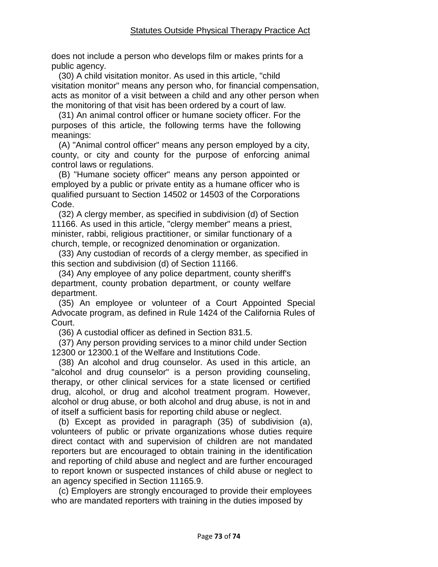does not include a person who develops film or makes prints for a public agency.

(30) A child visitation monitor. As used in this article, "child visitation monitor" means any person who, for financial compensation, acts as monitor of a visit between a child and any other person when the monitoring of that visit has been ordered by a court of law.

(31) An animal control officer or humane society officer. For the purposes of this article, the following terms have the following meanings:

(A) "Animal control officer" means any person employed by a city, county, or city and county for the purpose of enforcing animal control laws or regulations.

(B) "Humane society officer" means any person appointed or employed by a public or private entity as a humane officer who is qualified pursuant to Section 14502 or 14503 of the Corporations Code.

(32) A clergy member, as specified in subdivision (d) of Section 11166. As used in this article, "clergy member" means a priest, minister, rabbi, religious practitioner, or similar functionary of a church, temple, or recognized denomination or organization.

(33) Any custodian of records of a clergy member, as specified in this section and subdivision (d) of Section 11166.

(34) Any employee of any police department, county sheriff's department, county probation department, or county welfare department.

(35) An employee or volunteer of a Court Appointed Special Advocate program, as defined in Rule 1424 of the California Rules of Court.

(36) A custodial officer as defined in Section 831.5.

(37) Any person providing services to a minor child under Section 12300 or 12300.1 of the Welfare and Institutions Code.

(38) An alcohol and drug counselor. As used in this article, an "alcohol and drug counselor" is a person providing counseling, therapy, or other clinical services for a state licensed or certified drug, alcohol, or drug and alcohol treatment program. However, alcohol or drug abuse, or both alcohol and drug abuse, is not in and of itself a sufficient basis for reporting child abuse or neglect.

(b) Except as provided in paragraph (35) of subdivision (a), volunteers of public or private organizations whose duties require direct contact with and supervision of children are not mandated reporters but are encouraged to obtain training in the identification and reporting of child abuse and neglect and are further encouraged to report known or suspected instances of child abuse or neglect to an agency specified in Section 11165.9.

(c) Employers are strongly encouraged to provide their employees who are mandated reporters with training in the duties imposed by